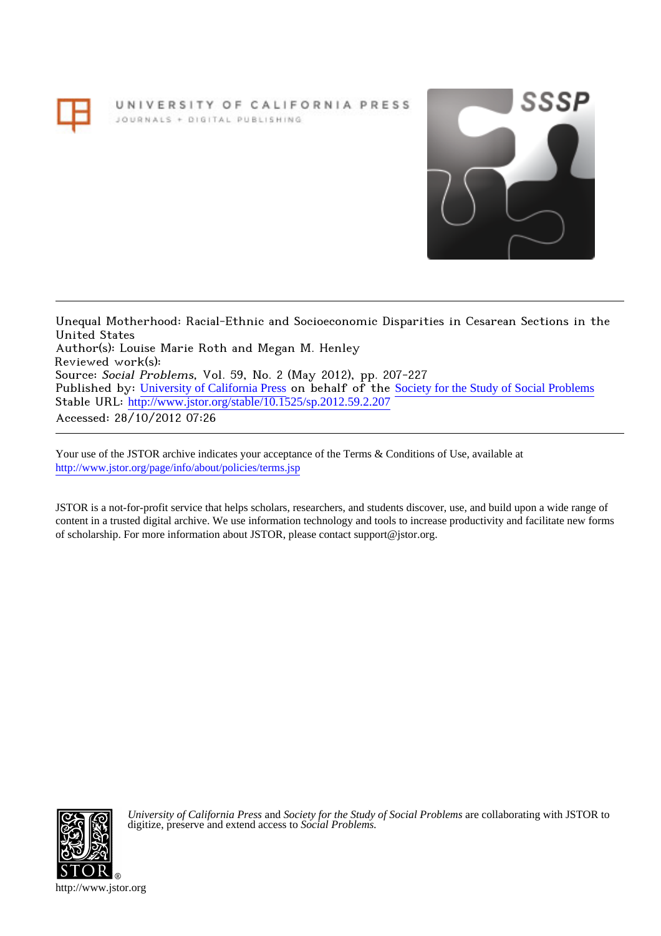UNIVERSITY OF CALIFORNIA PRESS JOURNALS + DIGITAL PUBLISHING



Unequal Motherhood: Racial-Ethnic and Socioeconomic Disparities in Cesarean Sections in the United States Author(s): Louise Marie Roth and Megan M. Henley Reviewed work(s): Source: Social Problems, Vol. 59, No. 2 (May 2012), pp. 207-227 Published by: [University of California Press](http://www.jstor.org/action/showPublisher?publisherCode=ucal) on behalf of the [Society for the Study of Social Problems](http://www.jstor.org/action/showPublisher?publisherCode=sssp) Stable URL: [http://www.jstor.org/stable/10.1525/sp.2012.59.2.207](http://www.jstor.org/stable/10.1525/sp.2012.59.2.207?origin=JSTOR-pdf) . Accessed: 28/10/2012 07:26

Your use of the JSTOR archive indicates your acceptance of the Terms & Conditions of Use, available at <http://www.jstor.org/page/info/about/policies/terms.jsp>

JSTOR is a not-for-profit service that helps scholars, researchers, and students discover, use, and build upon a wide range of content in a trusted digital archive. We use information technology and tools to increase productivity and facilitate new forms of scholarship. For more information about JSTOR, please contact support@jstor.org.



*University of California Press* and *Society for the Study of Social Problems* are collaborating with JSTOR to digitize, preserve and extend access to *Social Problems.*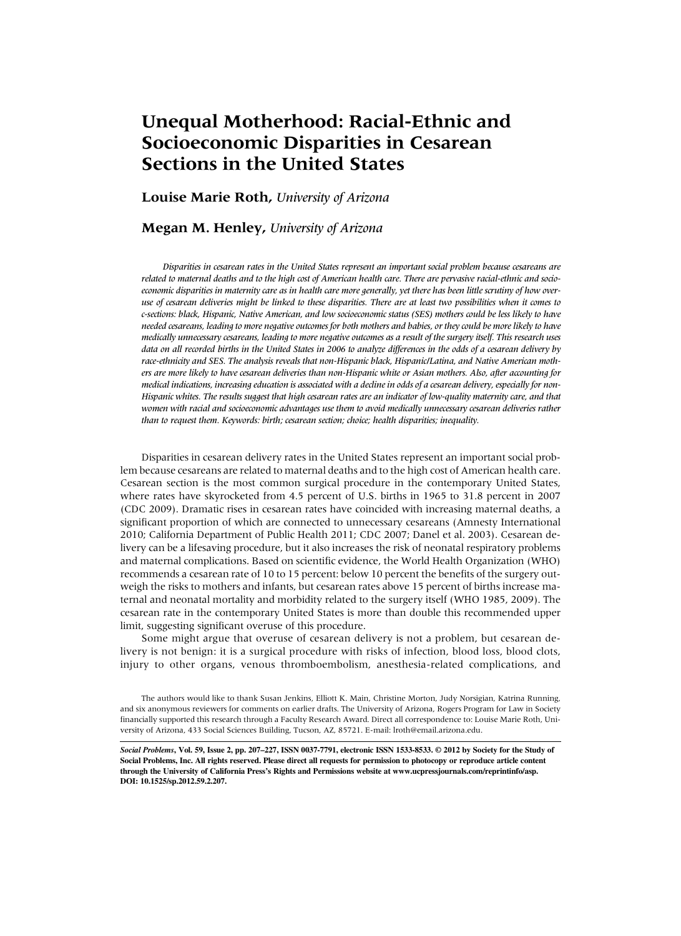# Unequal Motherhood: Racial-Ethnic and Socioeconomic Disparities in Cesarean Sections in the United States

Louise Marie Roth, University of Arizona

# Megan M. Henley, University of Arizona

Disparities in cesarean rates in the United States represent an important social problem because cesareans are related to maternal deaths and to the high cost of American health care. There are pervasive racial-ethnic and socioeconomic disparities in maternity care as in health care more generally, yet there has been little scrutiny of how overuse of cesarean deliveries might be linked to these disparities. There are at least two possibilities when it comes to c-sections: black, Hispanic, Native American, and low socioeconomic status (SES) mothers could be less likely to have needed cesareans, leading to more negative outcomes for both mothers and babies, or they could be more likely to have medically unnecessary cesareans, leading to more negative outcomes as a result of the surgery itself. This research uses data on all recorded births in the United States in 2006 to analyze differences in the odds of a cesarean delivery by race-ethnicity and SES. The analysis reveals that non-Hispanic black, Hispanic/Latina, and Native American mothers are more likely to have cesarean deliveries than non-Hispanic white or Asian mothers. Also, after accounting for medical indications, increasing education is associated with a decline in odds of a cesarean delivery, especially for non-Hispanic whites. The results suggest that high cesarean rates are an indicator of low-quality maternity care, and that women with racial and socioeconomic advantages use them to avoid medically unnecessary cesarean deliveries rather than to request them. Keywords: birth; cesarean section; choice; health disparities; inequality.

Disparities in cesarean delivery rates in the United States represent an important social problem because cesareans are related to maternal deaths and to the high cost of American health care. Cesarean section is the most common surgical procedure in the contemporary United States, where rates have skyrocketed from 4.5 percent of U.S. births in 1965 to 31.8 percent in 2007 (CDC 2009). Dramatic rises in cesarean rates have coincided with increasing maternal deaths, a significant proportion of which are connected to unnecessary cesareans (Amnesty International 2010; California Department of Public Health 2011; CDC 2007; Danel et al. 2003). Cesarean delivery can be a lifesaving procedure, but it also increases the risk of neonatal respiratory problems and maternal complications. Based on scientific evidence, the World Health Organization (WHO) recommends a cesarean rate of 10 to 15 percent: below 10 percent the benefits of the surgery outweigh the risks to mothers and infants, but cesarean rates above 15 percent of births increase maternal and neonatal mortality and morbidity related to the surgery itself (WHO 1985, 2009). The cesarean rate in the contemporary United States is more than double this recommended upper limit, suggesting significant overuse of this procedure.

Some might argue that overuse of cesarean delivery is not a problem, but cesarean delivery is not benign: it is a surgical procedure with risks of infection, blood loss, blood clots, injury to other organs, venous thromboembolism, anesthesia-related complications, and

The authors would like to thank Susan Jenkins, Elliott K. Main, Christine Morton, Judy Norsigian, Katrina Running, and six anonymous reviewers for comments on earlier drafts. The University of Arizona, Rogers Program for Law in Society financially supported this research through a Faculty Research Award. Direct all correspondence to: Louise Marie Roth, University of Arizona, 433 Social Sciences Building, Tucson, AZ, 85721. E-mail: lroth@email.arizona.edu.

Social Problems, Vol. 59, Issue 2, pp. 207–227, ISSN 0037-7791, electronic ISSN 1533-8533. © 2012 by Society for the Study of Social Problems, Inc. All rights reserved. Please direct all requests for permission to photocopy or reproduce article content through the University of California Press's Rights and Permissions website at www.ucpressjournals.com/reprintinfo/asp. DOI: 10.1525/sp.2012.59.2.207.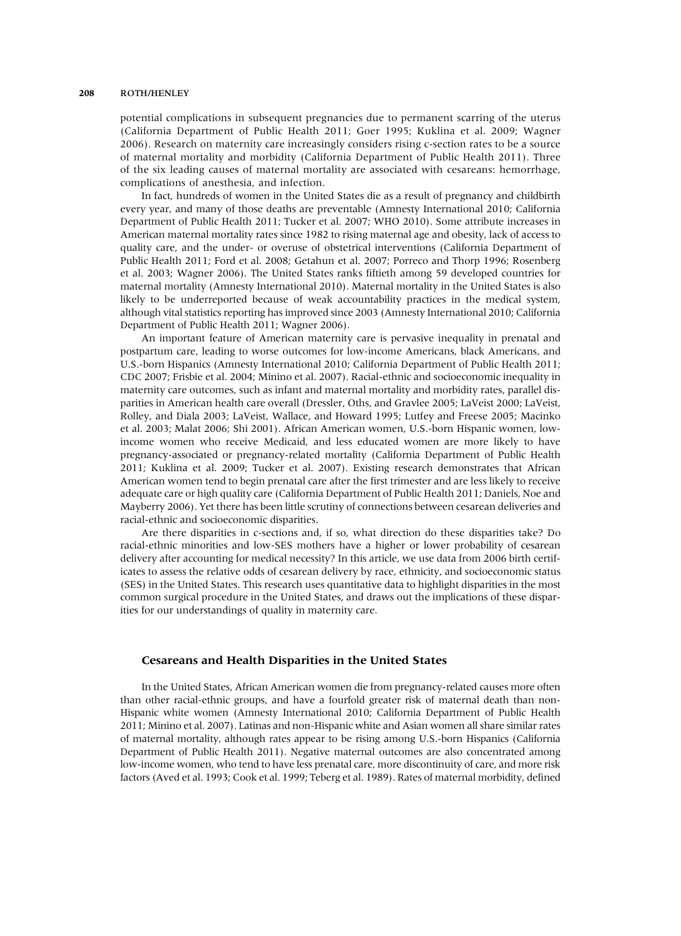potential complications in subsequent pregnancies due to permanent scarring of the uterus (California Department of Public Health 2011; Goer 1995; Kuklina et al. 2009; Wagner 2006). Research on maternity care increasingly considers rising c-section rates to be a source of maternal mortality and morbidity (California Department of Public Health 2011). Three of the six leading causes of maternal mortality are associated with cesareans: hemorrhage, complications of anesthesia, and infection.

In fact, hundreds of women in the United States die as a result of pregnancy and childbirth every year, and many of those deaths are preventable (Amnesty International 2010; California Department of Public Health 2011; Tucker et al. 2007; WHO 2010). Some attribute increases in American maternal mortality rates since 1982 to rising maternal age and obesity, lack of access to quality care, and the under- or overuse of obstetrical interventions (California Department of Public Health 2011; Ford et al. 2008; Getahun et al. 2007; Porreco and Thorp 1996; Rosenberg et al. 2003; Wagner 2006). The United States ranks fiftieth among 59 developed countries for maternal mortality (Amnesty International 2010). Maternal mortality in the United States is also likely to be underreported because of weak accountability practices in the medical system, although vital statistics reporting has improved since 2003 (Amnesty International 2010; California Department of Public Health 2011; Wagner 2006).

An important feature of American maternity care is pervasive inequality in prenatal and postpartum care, leading to worse outcomes for low-income Americans, black Americans, and U.S.-born Hispanics (Amnesty International 2010; California Department of Public Health 2011; CDC 2007; Frisbie et al. 2004; Minino et al. 2007). Racial-ethnic and socioeconomic inequality in maternity care outcomes, such as infant and maternal mortality and morbidity rates, parallel disparities in American health care overall (Dressler, Oths, and Gravlee 2005; LaVeist 2000; LaVeist, Rolley, and Diala 2003; LaVeist, Wallace, and Howard 1995; Lutfey and Freese 2005; Macinko et al. 2003; Malat 2006; Shi 2001). African American women, U.S.-born Hispanic women, lowincome women who receive Medicaid, and less educated women are more likely to have pregnancy-associated or pregnancy-related mortality (California Department of Public Health 2011; Kuklina et al. 2009; Tucker et al. 2007). Existing research demonstrates that African American women tend to begin prenatal care after the first trimester and are less likely to receive adequate care or high quality care (California Department of Public Health 2011; Daniels, Noe and Mayberry 2006). Yet there has been little scrutiny of connections between cesarean deliveries and racial-ethnic and socioeconomic disparities.

Are there disparities in c-sections and, if so, what direction do these disparities take? Do racial-ethnic minorities and low-SES mothers have a higher or lower probability of cesarean delivery after accounting for medical necessity? In this article, we use data from 2006 birth certificates to assess the relative odds of cesarean delivery by race, ethnicity, and socioeconomic status (SES) in the United States. This research uses quantitative data to highlight disparities in the most common surgical procedure in the United States, and draws out the implications of these disparities for our understandings of quality in maternity care.

#### Cesareans and Health Disparities in the United States

In the United States, African American women die from pregnancy-related causes more often than other racial-ethnic groups, and have a fourfold greater risk of maternal death than non-Hispanic white women (Amnesty International 2010; California Department of Public Health 2011; Minino et al. 2007). Latinas and non-Hispanic white and Asian women all share similar rates of maternal mortality, although rates appear to be rising among U.S.-born Hispanics (California Department of Public Health 2011). Negative maternal outcomes are also concentrated among low-income women, who tend to have less prenatal care, more discontinuity of care, and more risk factors (Aved et al. 1993; Cook et al. 1999; Teberg et al. 1989). Rates of maternal morbidity, defined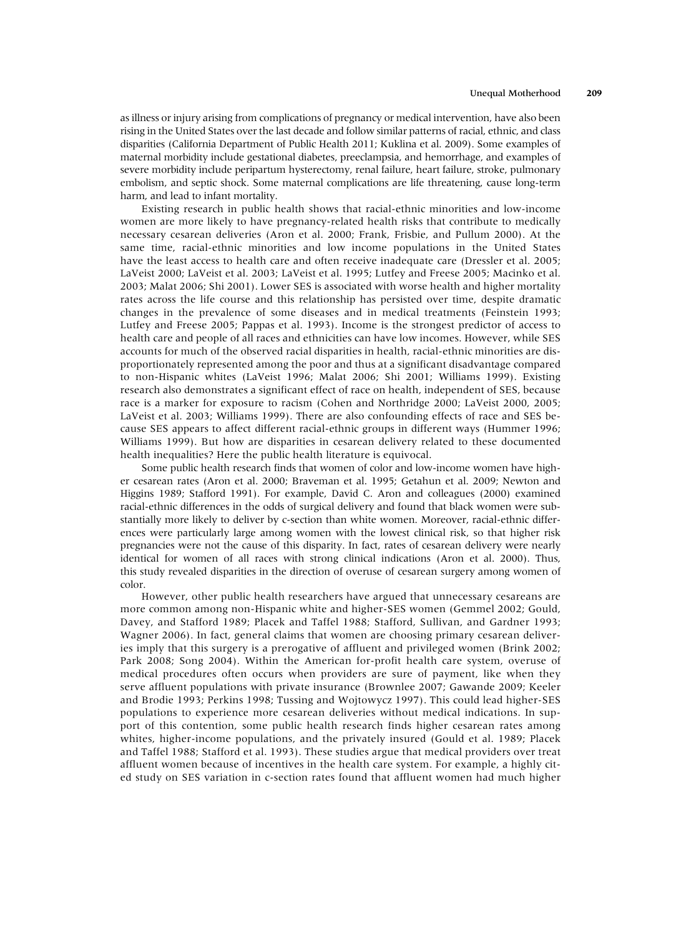as illness or injury arising from complications of pregnancy or medical intervention, have also been rising in the United States over the last decade and follow similar patterns of racial, ethnic, and class disparities (California Department of Public Health 2011; Kuklina et al. 2009). Some examples of maternal morbidity include gestational diabetes, preeclampsia, and hemorrhage, and examples of severe morbidity include peripartum hysterectomy, renal failure, heart failure, stroke, pulmonary embolism, and septic shock. Some maternal complications are life threatening, cause long-term harm, and lead to infant mortality.

Existing research in public health shows that racial-ethnic minorities and low-income women are more likely to have pregnancy-related health risks that contribute to medically necessary cesarean deliveries (Aron et al. 2000; Frank, Frisbie, and Pullum 2000). At the same time, racial-ethnic minorities and low income populations in the United States have the least access to health care and often receive inadequate care (Dressler et al. 2005; LaVeist 2000; LaVeist et al. 2003; LaVeist et al. 1995; Lutfey and Freese 2005; Macinko et al. 2003; Malat 2006; Shi 2001). Lower SES is associated with worse health and higher mortality rates across the life course and this relationship has persisted over time, despite dramatic changes in the prevalence of some diseases and in medical treatments (Feinstein 1993; Lutfey and Freese 2005; Pappas et al. 1993). Income is the strongest predictor of access to health care and people of all races and ethnicities can have low incomes. However, while SES accounts for much of the observed racial disparities in health, racial-ethnic minorities are disproportionately represented among the poor and thus at a significant disadvantage compared to non-Hispanic whites (LaVeist 1996; Malat 2006; Shi 2001; Williams 1999). Existing research also demonstrates a significant effect of race on health, independent of SES, because race is a marker for exposure to racism (Cohen and Northridge 2000; LaVeist 2000, 2005; LaVeist et al. 2003; Williams 1999). There are also confounding effects of race and SES because SES appears to affect different racial-ethnic groups in different ways (Hummer 1996; Williams 1999). But how are disparities in cesarean delivery related to these documented health inequalities? Here the public health literature is equivocal.

Some public health research finds that women of color and low-income women have higher cesarean rates (Aron et al. 2000; Braveman et al. 1995; Getahun et al. 2009; Newton and Higgins 1989; Stafford 1991). For example, David C. Aron and colleagues (2000) examined racial-ethnic differences in the odds of surgical delivery and found that black women were substantially more likely to deliver by c-section than white women. Moreover, racial-ethnic differences were particularly large among women with the lowest clinical risk, so that higher risk pregnancies were not the cause of this disparity. In fact, rates of cesarean delivery were nearly identical for women of all races with strong clinical indications (Aron et al. 2000). Thus, this study revealed disparities in the direction of overuse of cesarean surgery among women of color.

However, other public health researchers have argued that unnecessary cesareans are more common among non-Hispanic white and higher-SES women (Gemmel 2002; Gould, Davey, and Stafford 1989; Placek and Taffel 1988; Stafford, Sullivan, and Gardner 1993; Wagner 2006). In fact, general claims that women are choosing primary cesarean deliveries imply that this surgery is a prerogative of affluent and privileged women (Brink 2002; Park 2008; Song 2004). Within the American for-profit health care system, overuse of medical procedures often occurs when providers are sure of payment, like when they serve affluent populations with private insurance (Brownlee 2007; Gawande 2009; Keeler and Brodie 1993; Perkins 1998; Tussing and Wojtowycz 1997). This could lead higher-SES populations to experience more cesarean deliveries without medical indications. In support of this contention, some public health research finds higher cesarean rates among whites, higher-income populations, and the privately insured (Gould et al. 1989; Placek and Taffel 1988; Stafford et al. 1993). These studies argue that medical providers over treat affluent women because of incentives in the health care system. For example, a highly cited study on SES variation in c-section rates found that affluent women had much higher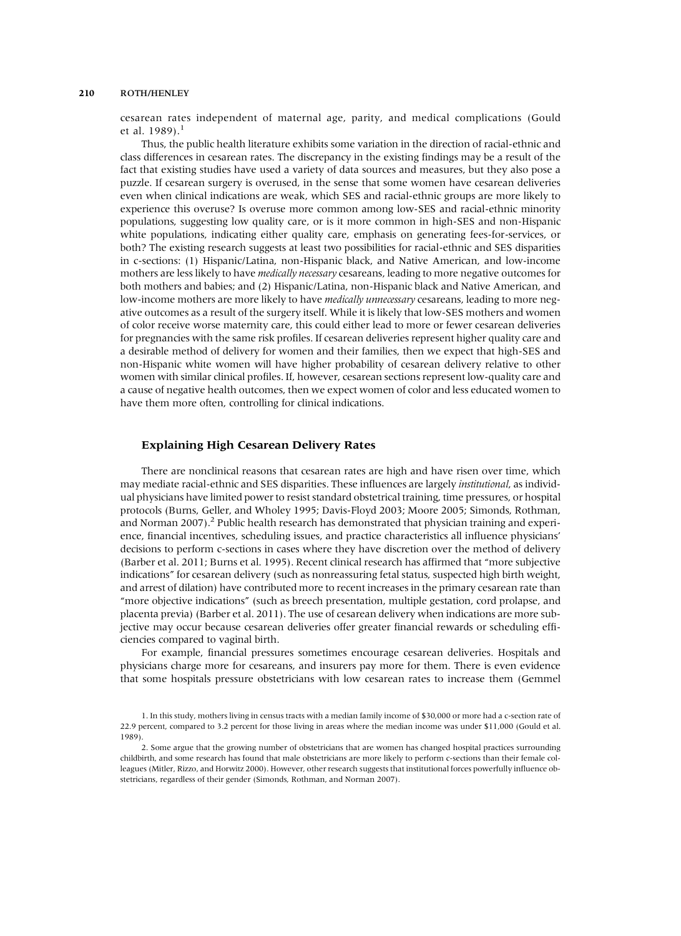cesarean rates independent of maternal age, parity, and medical complications (Gould et al. 1989).<sup>1</sup>

Thus, the public health literature exhibits some variation in the direction of racial-ethnic and class differences in cesarean rates. The discrepancy in the existing findings may be a result of the fact that existing studies have used a variety of data sources and measures, but they also pose a puzzle. If cesarean surgery is overused, in the sense that some women have cesarean deliveries even when clinical indications are weak, which SES and racial-ethnic groups are more likely to experience this overuse? Is overuse more common among low-SES and racial-ethnic minority populations, suggesting low quality care, or is it more common in high-SES and non-Hispanic white populations, indicating either quality care, emphasis on generating fees-for-services, or both? The existing research suggests at least two possibilities for racial-ethnic and SES disparities in c-sections: (1) Hispanic/Latina, non-Hispanic black, and Native American, and low-income mothers are less likely to have *medically necessary* cesareans, leading to more negative outcomes for both mothers and babies; and (2) Hispanic/Latina, non-Hispanic black and Native American, and low-income mothers are more likely to have *medically unnecessary* cesareans, leading to more negative outcomes as a result of the surgery itself. While it is likely that low-SES mothers and women of color receive worse maternity care, this could either lead to more or fewer cesarean deliveries for pregnancies with the same risk profiles. If cesarean deliveries represent higher quality care and a desirable method of delivery for women and their families, then we expect that high-SES and non-Hispanic white women will have higher probability of cesarean delivery relative to other women with similar clinical profiles. If, however, cesarean sections represent low-quality care and a cause of negative health outcomes, then we expect women of color and less educated women to have them more often, controlling for clinical indications.

## Explaining High Cesarean Delivery Rates

There are nonclinical reasons that cesarean rates are high and have risen over time, which may mediate racial-ethnic and SES disparities. These influences are largely institutional, as individual physicians have limited power to resist standard obstetrical training, time pressures, or hospital protocols (Burns, Geller, and Wholey 1995; Davis-Floyd 2003; Moore 2005; Simonds, Rothman, and Norman 2007).<sup>2</sup> Public health research has demonstrated that physician training and experience, financial incentives, scheduling issues, and practice characteristics all influence physicians' decisions to perform c-sections in cases where they have discretion over the method of delivery (Barber et al. 2011; Burns et al. 1995). Recent clinical research has affirmed that "more subjective indications" for cesarean delivery (such as nonreassuring fetal status, suspected high birth weight, and arrest of dilation) have contributed more to recent increases in the primary cesarean rate than "more objective indications" (such as breech presentation, multiple gestation, cord prolapse, and placenta previa) (Barber et al. 2011). The use of cesarean delivery when indications are more subjective may occur because cesarean deliveries offer greater financial rewards or scheduling efficiencies compared to vaginal birth.

For example, financial pressures sometimes encourage cesarean deliveries. Hospitals and physicians charge more for cesareans, and insurers pay more for them. There is even evidence that some hospitals pressure obstetricians with low cesarean rates to increase them (Gemmel

<sup>1.</sup> In this study, mothers living in census tracts with a median family income of \$30,000 or more had a c-section rate of 22.9 percent, compared to 3.2 percent for those living in areas where the median income was under \$11,000 (Gould et al. 1989).

<sup>2.</sup> Some argue that the growing number of obstetricians that are women has changed hospital practices surrounding childbirth, and some research has found that male obstetricians are more likely to perform c-sections than their female colleagues (Mitler, Rizzo, and Horwitz 2000). However, other research suggests that institutional forces powerfully influence obstetricians, regardless of their gender (Simonds, Rothman, and Norman 2007).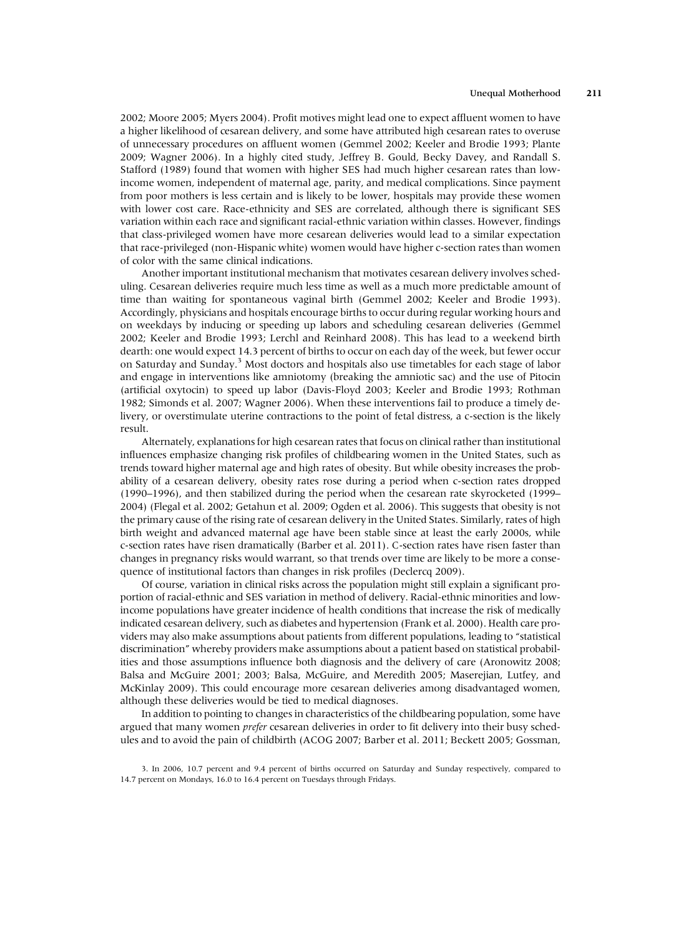2002; Moore 2005; Myers 2004). Profit motives might lead one to expect affluent women to have a higher likelihood of cesarean delivery, and some have attributed high cesarean rates to overuse of unnecessary procedures on affluent women (Gemmel 2002; Keeler and Brodie 1993; Plante 2009; Wagner 2006). In a highly cited study, Jeffrey B. Gould, Becky Davey, and Randall S. Stafford (1989) found that women with higher SES had much higher cesarean rates than lowincome women, independent of maternal age, parity, and medical complications. Since payment from poor mothers is less certain and is likely to be lower, hospitals may provide these women with lower cost care. Race-ethnicity and SES are correlated, although there is significant SES variation within each race and significant racial-ethnic variation within classes. However, findings that class-privileged women have more cesarean deliveries would lead to a similar expectation that race-privileged (non-Hispanic white) women would have higher c-section rates than women of color with the same clinical indications.

Another important institutional mechanism that motivates cesarean delivery involves scheduling. Cesarean deliveries require much less time as well as a much more predictable amount of time than waiting for spontaneous vaginal birth (Gemmel 2002; Keeler and Brodie 1993). Accordingly, physicians and hospitals encourage births to occur during regular working hours and on weekdays by inducing or speeding up labors and scheduling cesarean deliveries (Gemmel 2002; Keeler and Brodie 1993; Lerchl and Reinhard 2008). This has lead to a weekend birth dearth: one would expect 14.3 percent of births to occur on each day of the week, but fewer occur on Saturday and Sunday.<sup>3</sup> Most doctors and hospitals also use timetables for each stage of labor and engage in interventions like amniotomy (breaking the amniotic sac) and the use of Pitocin (artificial oxytocin) to speed up labor (Davis-Floyd 2003; Keeler and Brodie 1993; Rothman 1982; Simonds et al. 2007; Wagner 2006). When these interventions fail to produce a timely delivery, or overstimulate uterine contractions to the point of fetal distress, a c-section is the likely result.

Alternately, explanations for high cesarean rates that focus on clinical rather than institutional influences emphasize changing risk profiles of childbearing women in the United States, such as trends toward higher maternal age and high rates of obesity. But while obesity increases the probability of a cesarean delivery, obesity rates rose during a period when c-section rates dropped (1990–1996), and then stabilized during the period when the cesarean rate skyrocketed (1999– 2004) (Flegal et al. 2002; Getahun et al. 2009; Ogden et al. 2006). This suggests that obesity is not the primary cause of the rising rate of cesarean delivery in the United States. Similarly, rates of high birth weight and advanced maternal age have been stable since at least the early 2000s, while c-section rates have risen dramatically (Barber et al. 2011). C-section rates have risen faster than changes in pregnancy risks would warrant, so that trends over time are likely to be more a consequence of institutional factors than changes in risk profiles (Declercq 2009).

Of course, variation in clinical risks across the population might still explain a significant proportion of racial-ethnic and SES variation in method of delivery. Racial-ethnic minorities and lowincome populations have greater incidence of health conditions that increase the risk of medically indicated cesarean delivery, such as diabetes and hypertension (Frank et al. 2000). Health care providers may also make assumptions about patients from different populations, leading to "statistical discrimination" whereby providers make assumptions about a patient based on statistical probabilities and those assumptions influence both diagnosis and the delivery of care (Aronowitz 2008; Balsa and McGuire 2001; 2003; Balsa, McGuire, and Meredith 2005; Maserejian, Lutfey, and McKinlay 2009). This could encourage more cesarean deliveries among disadvantaged women, although these deliveries would be tied to medical diagnoses.

In addition to pointing to changes in characteristics of the childbearing population, some have argued that many women *prefer* cesarean deliveries in order to fit delivery into their busy schedules and to avoid the pain of childbirth (ACOG 2007; Barber et al. 2011; Beckett 2005; Gossman,

3. In 2006, 10.7 percent and 9.4 percent of births occurred on Saturday and Sunday respectively, compared to 14.7 percent on Mondays, 16.0 to 16.4 percent on Tuesdays through Fridays.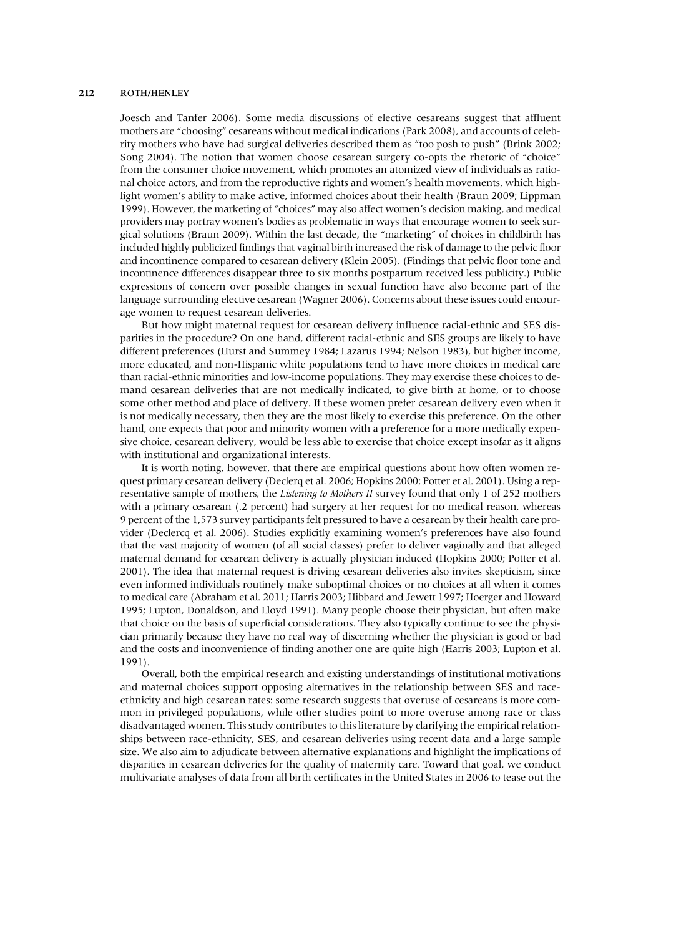Joesch and Tanfer 2006). Some media discussions of elective cesareans suggest that affluent mothers are "choosing" cesareans without medical indications (Park 2008), and accounts of celebrity mothers who have had surgical deliveries described them as "too posh to push" (Brink 2002; Song 2004). The notion that women choose cesarean surgery co-opts the rhetoric of "choice" from the consumer choice movement, which promotes an atomized view of individuals as rational choice actors, and from the reproductive rights and women's health movements, which highlight women's ability to make active, informed choices about their health (Braun 2009; Lippman 1999). However, the marketing of "choices" may also affect women's decision making, and medical providers may portray women's bodies as problematic in ways that encourage women to seek surgical solutions (Braun 2009). Within the last decade, the "marketing" of choices in childbirth has included highly publicized findings that vaginal birth increased the risk of damage to the pelvic floor and incontinence compared to cesarean delivery (Klein 2005). (Findings that pelvic floor tone and incontinence differences disappear three to six months postpartum received less publicity.) Public expressions of concern over possible changes in sexual function have also become part of the language surrounding elective cesarean (Wagner 2006). Concerns about these issues could encourage women to request cesarean deliveries.

But how might maternal request for cesarean delivery influence racial-ethnic and SES disparities in the procedure? On one hand, different racial-ethnic and SES groups are likely to have different preferences (Hurst and Summey 1984; Lazarus 1994; Nelson 1983), but higher income, more educated, and non-Hispanic white populations tend to have more choices in medical care than racial-ethnic minorities and low-income populations. They may exercise these choices to demand cesarean deliveries that are not medically indicated, to give birth at home, or to choose some other method and place of delivery. If these women prefer cesarean delivery even when it is not medically necessary, then they are the most likely to exercise this preference. On the other hand, one expects that poor and minority women with a preference for a more medically expensive choice, cesarean delivery, would be less able to exercise that choice except insofar as it aligns with institutional and organizational interests.

It is worth noting, however, that there are empirical questions about how often women request primary cesarean delivery (Declerq et al. 2006; Hopkins 2000; Potter et al. 2001). Using a representative sample of mothers, the Listening to Mothers II survey found that only 1 of 252 mothers with a primary cesarean (.2 percent) had surgery at her request for no medical reason, whereas 9 percent of the 1,573 survey participants felt pressured to have a cesarean by their health care provider (Declercq et al. 2006). Studies explicitly examining women's preferences have also found that the vast majority of women (of all social classes) prefer to deliver vaginally and that alleged maternal demand for cesarean delivery is actually physician induced (Hopkins 2000; Potter et al. 2001). The idea that maternal request is driving cesarean deliveries also invites skepticism, since even informed individuals routinely make suboptimal choices or no choices at all when it comes to medical care (Abraham et al. 2011; Harris 2003; Hibbard and Jewett 1997; Hoerger and Howard 1995; Lupton, Donaldson, and Lloyd 1991). Many people choose their physician, but often make that choice on the basis of superficial considerations. They also typically continue to see the physician primarily because they have no real way of discerning whether the physician is good or bad and the costs and inconvenience of finding another one are quite high (Harris 2003; Lupton et al. 1991).

Overall, both the empirical research and existing understandings of institutional motivations and maternal choices support opposing alternatives in the relationship between SES and raceethnicity and high cesarean rates: some research suggests that overuse of cesareans is more common in privileged populations, while other studies point to more overuse among race or class disadvantaged women. This study contributes to this literature by clarifying the empirical relationships between race-ethnicity, SES, and cesarean deliveries using recent data and a large sample size. We also aim to adjudicate between alternative explanations and highlight the implications of disparities in cesarean deliveries for the quality of maternity care. Toward that goal, we conduct multivariate analyses of data from all birth certificates in the United States in 2006 to tease out the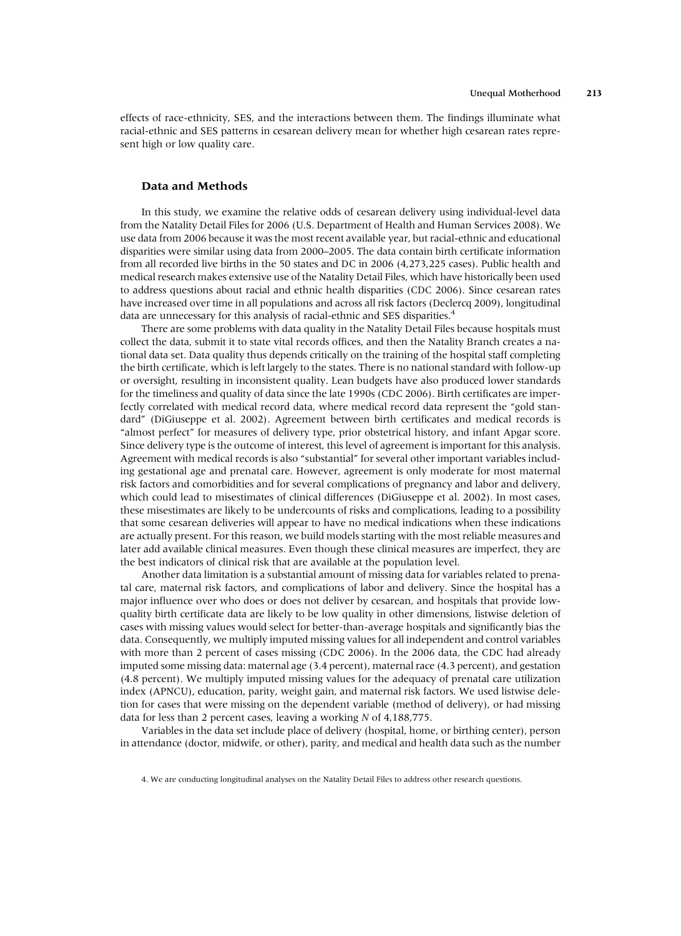effects of race-ethnicity, SES, and the interactions between them. The findings illuminate what racial-ethnic and SES patterns in cesarean delivery mean for whether high cesarean rates represent high or low quality care.

#### Data and Methods

In this study, we examine the relative odds of cesarean delivery using individual-level data from the Natality Detail Files for 2006 (U.S. Department of Health and Human Services 2008). We use data from 2006 because it was the most recent available year, but racial-ethnic and educational disparities were similar using data from 2000–2005. The data contain birth certificate information from all recorded live births in the 50 states and DC in 2006 (4,273,225 cases). Public health and medical research makes extensive use of the Natality Detail Files, which have historically been used to address questions about racial and ethnic health disparities (CDC 2006). Since cesarean rates have increased over time in all populations and across all risk factors (Declercq 2009), longitudinal data are unnecessary for this analysis of racial-ethnic and SES disparities.<sup>4</sup>

There are some problems with data quality in the Natality Detail Files because hospitals must collect the data, submit it to state vital records offices, and then the Natality Branch creates a national data set. Data quality thus depends critically on the training of the hospital staff completing the birth certificate, which is left largely to the states. There is no national standard with follow-up or oversight, resulting in inconsistent quality. Lean budgets have also produced lower standards for the timeliness and quality of data since the late 1990s (CDC 2006). Birth certificates are imperfectly correlated with medical record data, where medical record data represent the "gold standard" (DiGiuseppe et al. 2002). Agreement between birth certificates and medical records is "almost perfect" for measures of delivery type, prior obstetrical history, and infant Apgar score. Since delivery type is the outcome of interest, this level of agreement is important for this analysis. Agreement with medical records is also "substantial" for several other important variables including gestational age and prenatal care. However, agreement is only moderate for most maternal risk factors and comorbidities and for several complications of pregnancy and labor and delivery, which could lead to misestimates of clinical differences (DiGiuseppe et al. 2002). In most cases, these misestimates are likely to be undercounts of risks and complications, leading to a possibility that some cesarean deliveries will appear to have no medical indications when these indications are actually present. For this reason, we build models starting with the most reliable measures and later add available clinical measures. Even though these clinical measures are imperfect, they are the best indicators of clinical risk that are available at the population level.

Another data limitation is a substantial amount of missing data for variables related to prenatal care, maternal risk factors, and complications of labor and delivery. Since the hospital has a major influence over who does or does not deliver by cesarean, and hospitals that provide lowquality birth certificate data are likely to be low quality in other dimensions, listwise deletion of cases with missing values would select for better-than-average hospitals and significantly bias the data. Consequently, we multiply imputed missing values for all independent and control variables with more than 2 percent of cases missing (CDC 2006). In the 2006 data, the CDC had already imputed some missing data: maternal age (3.4 percent), maternal race (4.3 percent), and gestation (4.8 percent). We multiply imputed missing values for the adequacy of prenatal care utilization index (APNCU), education, parity, weight gain, and maternal risk factors. We used listwise deletion for cases that were missing on the dependent variable (method of delivery), or had missing data for less than 2 percent cases, leaving a working  $N$  of 4,188,775.

Variables in the data set include place of delivery (hospital, home, or birthing center), person in attendance (doctor, midwife, or other), parity, and medical and health data such as the number

<sup>4.</sup> We are conducting longitudinal analyses on the Natality Detail Files to address other research questions.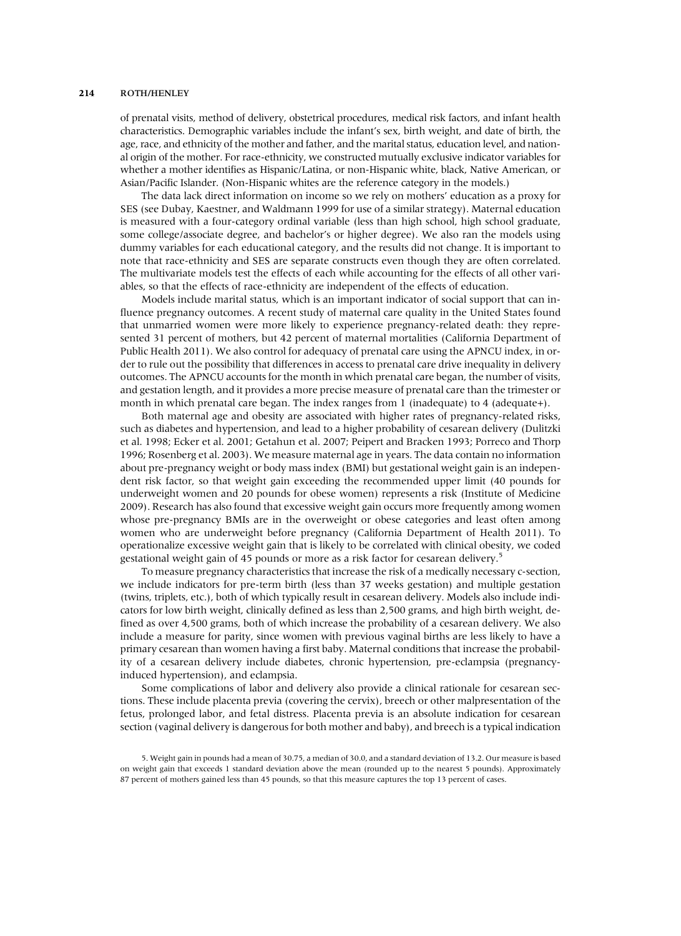of prenatal visits, method of delivery, obstetrical procedures, medical risk factors, and infant health characteristics. Demographic variables include the infant's sex, birth weight, and date of birth, the age, race, and ethnicity of the mother and father, and the marital status, education level, and national origin of the mother. For race-ethnicity, we constructed mutually exclusive indicator variables for whether a mother identifies as Hispanic/Latina, or non-Hispanic white, black, Native American, or Asian/Pacific Islander. (Non-Hispanic whites are the reference category in the models.)

The data lack direct information on income so we rely on mothers' education as a proxy for SES (see Dubay, Kaestner, and Waldmann 1999 for use of a similar strategy). Maternal education is measured with a four-category ordinal variable (less than high school, high school graduate, some college/associate degree, and bachelor's or higher degree). We also ran the models using dummy variables for each educational category, and the results did not change. It is important to note that race-ethnicity and SES are separate constructs even though they are often correlated. The multivariate models test the effects of each while accounting for the effects of all other variables, so that the effects of race-ethnicity are independent of the effects of education.

Models include marital status, which is an important indicator of social support that can influence pregnancy outcomes. A recent study of maternal care quality in the United States found that unmarried women were more likely to experience pregnancy-related death: they represented 31 percent of mothers, but 42 percent of maternal mortalities (California Department of Public Health 2011). We also control for adequacy of prenatal care using the APNCU index, in order to rule out the possibility that differences in access to prenatal care drive inequality in delivery outcomes. The APNCU accounts for the month in which prenatal care began, the number of visits, and gestation length, and it provides a more precise measure of prenatal care than the trimester or month in which prenatal care began. The index ranges from 1 (inadequate) to 4 (adequate+).

Both maternal age and obesity are associated with higher rates of pregnancy-related risks, such as diabetes and hypertension, and lead to a higher probability of cesarean delivery (Dulitzki et al. 1998; Ecker et al. 2001; Getahun et al. 2007; Peipert and Bracken 1993; Porreco and Thorp 1996; Rosenberg et al. 2003). We measure maternal age in years. The data contain no information about pre-pregnancy weight or body mass index (BMI) but gestational weight gain is an independent risk factor, so that weight gain exceeding the recommended upper limit (40 pounds for underweight women and 20 pounds for obese women) represents a risk (Institute of Medicine 2009). Research has also found that excessive weight gain occurs more frequently among women whose pre-pregnancy BMIs are in the overweight or obese categories and least often among women who are underweight before pregnancy (California Department of Health 2011). To operationalize excessive weight gain that is likely to be correlated with clinical obesity, we coded gestational weight gain of 45 pounds or more as a risk factor for cesarean delivery.<sup>5</sup>

To measure pregnancy characteristics that increase the risk of a medically necessary c-section, we include indicators for pre-term birth (less than 37 weeks gestation) and multiple gestation (twins, triplets, etc.), both of which typically result in cesarean delivery. Models also include indicators for low birth weight, clinically defined as less than 2,500 grams, and high birth weight, defined as over 4,500 grams, both of which increase the probability of a cesarean delivery. We also include a measure for parity, since women with previous vaginal births are less likely to have a primary cesarean than women having a first baby. Maternal conditions that increase the probability of a cesarean delivery include diabetes, chronic hypertension, pre-eclampsia (pregnancyinduced hypertension), and eclampsia.

Some complications of labor and delivery also provide a clinical rationale for cesarean sections. These include placenta previa (covering the cervix), breech or other malpresentation of the fetus, prolonged labor, and fetal distress. Placenta previa is an absolute indication for cesarean section (vaginal delivery is dangerous for both mother and baby), and breech is a typical indication

<sup>5.</sup> Weight gain in pounds had a mean of 30.75, a median of 30.0, and a standard deviation of 13.2. Our measure is based on weight gain that exceeds 1 standard deviation above the mean (rounded up to the nearest 5 pounds). Approximately 87 percent of mothers gained less than 45 pounds, so that this measure captures the top 13 percent of cases.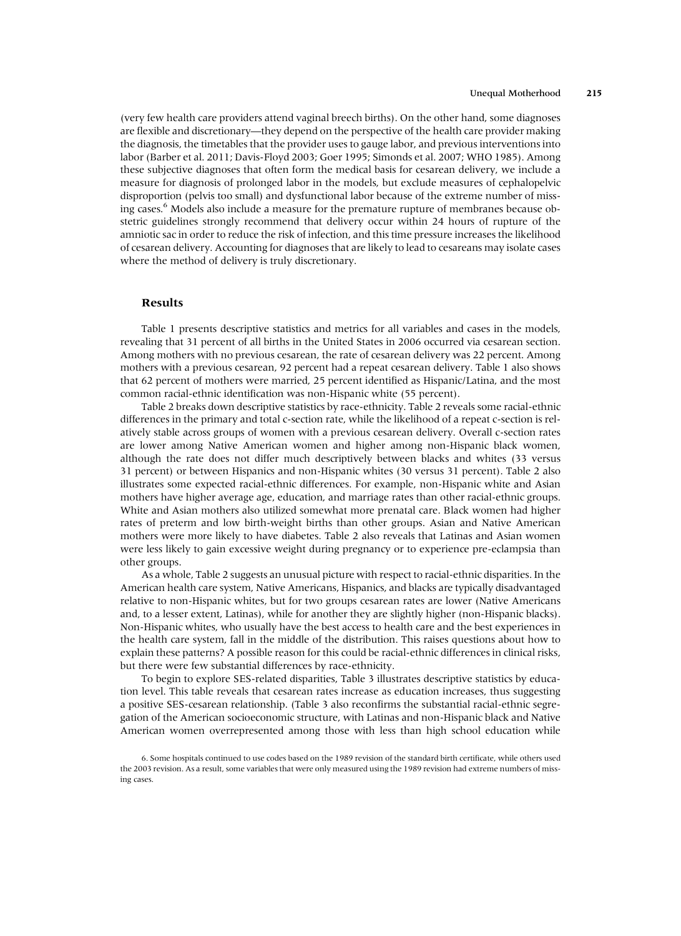(very few health care providers attend vaginal breech births). On the other hand, some diagnoses are flexible and discretionary—they depend on the perspective of the health care provider making the diagnosis, the timetables that the provider uses to gauge labor, and previous interventions into labor (Barber et al. 2011; Davis-Floyd 2003; Goer 1995; Simonds et al. 2007; WHO 1985). Among these subjective diagnoses that often form the medical basis for cesarean delivery, we include a measure for diagnosis of prolonged labor in the models, but exclude measures of cephalopelvic disproportion (pelvis too small) and dysfunctional labor because of the extreme number of missing cases.<sup>6</sup> Models also include a measure for the premature rupture of membranes because obstetric guidelines strongly recommend that delivery occur within 24 hours of rupture of the amniotic sac in order to reduce the risk of infection, and this time pressure increases the likelihood of cesarean delivery. Accounting for diagnoses that are likely to lead to cesareans may isolate cases where the method of delivery is truly discretionary.

#### Results

Table 1 presents descriptive statistics and metrics for all variables and cases in the models, revealing that 31 percent of all births in the United States in 2006 occurred via cesarean section. Among mothers with no previous cesarean, the rate of cesarean delivery was 22 percent. Among mothers with a previous cesarean, 92 percent had a repeat cesarean delivery. Table 1 also shows that 62 percent of mothers were married, 25 percent identified as Hispanic/Latina, and the most common racial-ethnic identification was non-Hispanic white (55 percent).

Table 2 breaks down descriptive statistics by race-ethnicity. Table 2 reveals some racial-ethnic differences in the primary and total c-section rate, while the likelihood of a repeat c-section is relatively stable across groups of women with a previous cesarean delivery. Overall c-section rates are lower among Native American women and higher among non-Hispanic black women, although the rate does not differ much descriptively between blacks and whites (33 versus 31 percent) or between Hispanics and non-Hispanic whites (30 versus 31 percent). Table 2 also illustrates some expected racial-ethnic differences. For example, non-Hispanic white and Asian mothers have higher average age, education, and marriage rates than other racial-ethnic groups. White and Asian mothers also utilized somewhat more prenatal care. Black women had higher rates of preterm and low birth-weight births than other groups. Asian and Native American mothers were more likely to have diabetes. Table 2 also reveals that Latinas and Asian women were less likely to gain excessive weight during pregnancy or to experience pre-eclampsia than other groups.

As a whole, Table 2 suggests an unusual picture with respect to racial-ethnic disparities. In the American health care system, Native Americans, Hispanics, and blacks are typically disadvantaged relative to non-Hispanic whites, but for two groups cesarean rates are lower (Native Americans and, to a lesser extent, Latinas), while for another they are slightly higher (non-Hispanic blacks). Non-Hispanic whites, who usually have the best access to health care and the best experiences in the health care system, fall in the middle of the distribution. This raises questions about how to explain these patterns? A possible reason for this could be racial-ethnic differences in clinical risks, but there were few substantial differences by race-ethnicity.

To begin to explore SES-related disparities, Table 3 illustrates descriptive statistics by education level. This table reveals that cesarean rates increase as education increases, thus suggesting a positive SES-cesarean relationship. (Table 3 also reconfirms the substantial racial-ethnic segregation of the American socioeconomic structure, with Latinas and non-Hispanic black and Native American women overrepresented among those with less than high school education while

<sup>6.</sup> Some hospitals continued to use codes based on the 1989 revision of the standard birth certificate, while others used the 2003 revision. As a result, some variables that were only measured using the 1989 revision had extreme numbers of missing cases.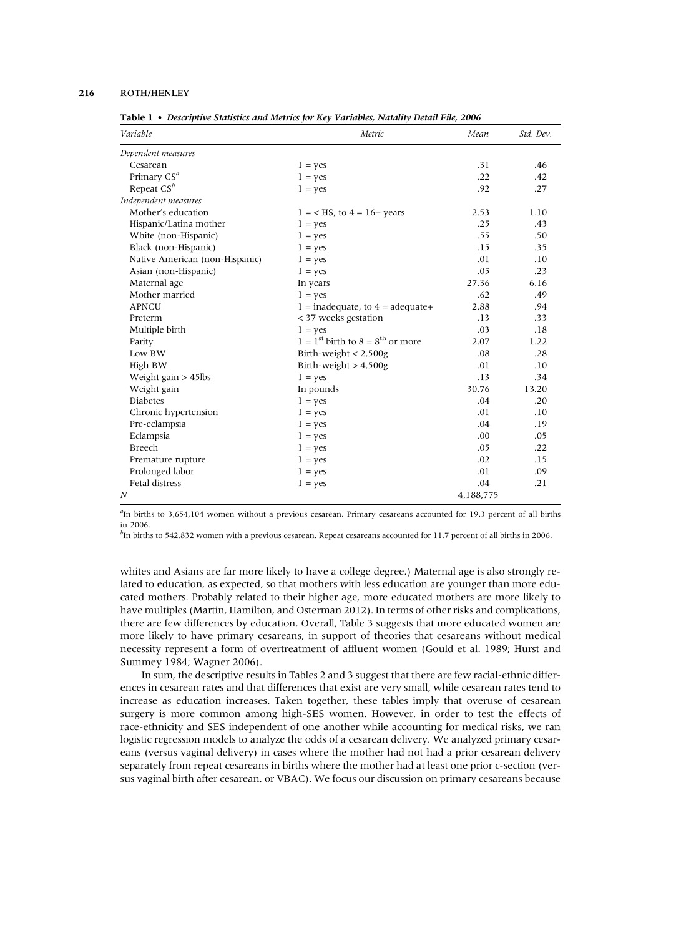Table 1 • Descriptive Statistics and Metrics for Key Variables, Natality Detail File, 2006

| Variable                       | Metric                                                       |           | Std. Dev. |  |
|--------------------------------|--------------------------------------------------------------|-----------|-----------|--|
| Dependent measures             |                                                              |           |           |  |
| Cesarean                       | $l = yes$                                                    | .31       | .46       |  |
| Primary CS <sup>a</sup>        | $l = yes$                                                    | .22       | .42       |  |
| Repeat $CS^b$                  | $1 = yes$                                                    | .92       | .27       |  |
| Independent measures           |                                                              |           |           |  |
| Mother's education             | $1 =$ < HS, to 4 = 16+ years                                 | 2.53      | 1.10      |  |
| Hispanic/Latina mother         | $1 = yes$                                                    | .25       | .43       |  |
| White (non-Hispanic)           | $1 = yes$                                                    | .55       | .50       |  |
| Black (non-Hispanic)           | $1 = yes$                                                    | .15       | .35       |  |
| Native American (non-Hispanic) | $l = yes$                                                    | .01       | .10       |  |
| Asian (non-Hispanic)           | $l = yes$                                                    | .05       | .23       |  |
| Maternal age                   | In years                                                     | 27.36     | 6.16      |  |
| Mother married                 | $l = yes$                                                    | .62       | .49       |  |
| <b>APNCU</b>                   | $1 =$ inadequate, to $4 =$ adequate+                         | 2.88      | .94       |  |
| Preterm                        | < 37 weeks gestation                                         | .13       | .33       |  |
| Multiple birth                 | $1 = yes$                                                    | .03       | .18       |  |
| Parity                         | $1 = 1$ <sup>st</sup> birth to $8 = 8$ <sup>th</sup> or more | 2.07      | 1.22      |  |
| Low BW                         | Birth-weight $< 2.500g$                                      | .08       | .28       |  |
| High BW                        | Birth-weight $> 4,500g$                                      | .01       | .10       |  |
| Weight gain $>$ 45lbs          | $l = yes$                                                    | .13       | .34       |  |
| Weight gain                    | In pounds                                                    | 30.76     | 13.20     |  |
| <b>Diabetes</b>                | $l = yes$                                                    | .04       | .20       |  |
| Chronic hypertension           | $1 = yes$                                                    | .01       | .10       |  |
| Pre-eclampsia                  | $1 = yes$                                                    | .04       | .19       |  |
| Eclampsia                      | $l = yes$                                                    | .00       | .05       |  |
| Breech                         | $1 = yes$                                                    | .05       | .22       |  |
| Premature rupture              | $1 = yes$                                                    | .02       | .15       |  |
| Prolonged labor                | $l = yes$                                                    | .01       | .09       |  |
| Fetal distress                 | $l = yes$                                                    | .04       | .21       |  |
| N                              |                                                              | 4,188,775 |           |  |

a In births to 3,654,104 women without a previous cesarean. Primary cesareans accounted for 19.3 percent of all births in 2006.

 $b^b$ In births to 542,832 women with a previous cesarean. Repeat cesareans accounted for 11.7 percent of all births in 2006.

whites and Asians are far more likely to have a college degree.) Maternal age is also strongly related to education, as expected, so that mothers with less education are younger than more educated mothers. Probably related to their higher age, more educated mothers are more likely to have multiples (Martin, Hamilton, and Osterman 2012). In terms of other risks and complications, there are few differences by education. Overall, Table 3 suggests that more educated women are more likely to have primary cesareans, in support of theories that cesareans without medical necessity represent a form of overtreatment of affluent women (Gould et al. 1989; Hurst and Summey 1984; Wagner 2006).

In sum, the descriptive results in Tables 2 and 3 suggest that there are few racial-ethnic differences in cesarean rates and that differences that exist are very small, while cesarean rates tend to increase as education increases. Taken together, these tables imply that overuse of cesarean surgery is more common among high-SES women. However, in order to test the effects of race-ethnicity and SES independent of one another while accounting for medical risks, we ran logistic regression models to analyze the odds of a cesarean delivery. We analyzed primary cesareans (versus vaginal delivery) in cases where the mother had not had a prior cesarean delivery separately from repeat cesareans in births where the mother had at least one prior c-section (versus vaginal birth after cesarean, or VBAC). We focus our discussion on primary cesareans because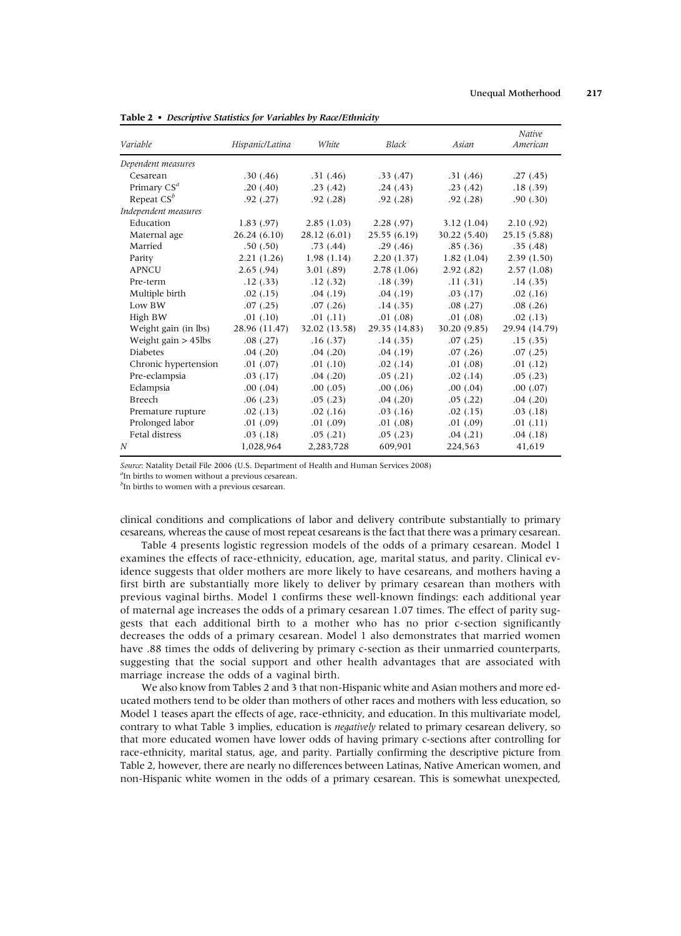| Variable                | Hispanic/Latina | White         | Black         | Asian       | Native<br>American |
|-------------------------|-----------------|---------------|---------------|-------------|--------------------|
| Dependent measures      |                 |               |               |             |                    |
| Cesarean                | .30(0.46)       | .31(.46)      | .33(.47)      | .31(0.46)   | .27(0.45)          |
| Primary CS <sup>a</sup> | .20(.40)        | .23(.42)      | .24(.43)      | .23(.42)    | .18(.39)           |
| Repeat $CS^b$           | .92(0.27)       | .92(0.28)     | .92(.28)      | .92(0.28)   | .90(.30)           |
| Independent measures    |                 |               |               |             |                    |
| Education               | 1.83(0.97)      | 2.85(1.03)    | 2.28(.97)     | 3.12(1.04)  | 2.10(0.92)         |
| Maternal age            | 26.24(6.10)     | 28.12 (6.01)  | 25.55(6.19)   | 30.22(5.40) | 25.15 (5.88)       |
| Married                 | .50(.50)        | .73(0.44)     | .29(0.46)     | .85(.36)    | .35(0.48)          |
| Parity                  | 2.21(1.26)      | 1.98(1.14)    | 2.20(1.37)    | 1.82(1.04)  | 2.39(1.50)         |
| <b>APNCU</b>            | 2.65(.94)       | 3.01(.89)     | 2.78(1.06)    | 2.92(.82)   | 2.57(1.08)         |
| Pre-term                | .12(.33)        | .12(.32)      | .18(.39)      | .11(.31)    | .14(.35)           |
| Multiple birth          | .02(.15)        | .04(.19)      | .04(.19)      | .03(.17)    | .02(.16)           |
| Low BW                  | .07(.25)        | .07(0.26)     | .14(.35)      | .08(.27)    | .08(.26)           |
| High BW                 | .01(.10)        | .01(.11)      | .01(0.08)     | .01(0.08)   | .02(.13)           |
| Weight gain (in lbs)    | 28.96 (11.47)   | 32.02 (13.58) | 29.35 (14.83) | 30.20(9.85) | 29.94 (14.79)      |
| Weight gain $>$ 45lbs   | .08(.27)        | .16(.37)      | .14(.35)      | .07(.25)    | .15(.35)           |
| <b>Diabetes</b>         | .04(.20)        | .04(.20)      | .04(.19)      | .07(0.26)   | .07(0.25)          |
| Chronic hypertension    | $.01$ $(.07)$   | .01(.10)      | .02(.14)      | .01(0.08)   | .01(.12)           |
| Pre-eclampsia           | .03(.17)        | .04(.20)      | .05(.21)      | .02( .14)   | .05(.23)           |
| Eclampsia               | $.00$ $(.04)$   | .00(.05)      | .00(.06)      | .00(0.04)   | $.00$ $(.07)$      |
| Breech                  | .06(.23)        | .05(.23)      | .04(.20)      | .05(.22)    | .04(.20)           |
| Premature rupture       | .02(.13)        | .02(.16)      | .03(.16)      | .02(.15)    | .03(.18)           |
| Prolonged labor         | .01(0.09)       | .01(0.09)     | .01(0.08)     | .01(0.09)   | .01(.11)           |
| Fetal distress          | .03(.18)        | .05(0.21)     | .05(.23)      | .04(.21)    | .04(.18)           |
| $\boldsymbol{N}$        | 1,028,964       | 2,283,728     | 609,901       | 224,563     | 41,619             |

Table 2 • Descriptive Statistics for Variables by Race/Ethnicity

Source: Natality Detail File 2006 (U.S. Department of Health and Human Services 2008)

<sup>a</sup>In births to women without a previous cesarean.

 $\overline{b}$ In births to women with a previous cesarean.

clinical conditions and complications of labor and delivery contribute substantially to primary cesareans, whereas the cause of most repeat cesareans is the fact that there was a primary cesarean.

Table 4 presents logistic regression models of the odds of a primary cesarean. Model 1 examines the effects of race-ethnicity, education, age, marital status, and parity. Clinical evidence suggests that older mothers are more likely to have cesareans, and mothers having a first birth are substantially more likely to deliver by primary cesarean than mothers with previous vaginal births. Model 1 confirms these well-known findings: each additional year of maternal age increases the odds of a primary cesarean 1.07 times. The effect of parity suggests that each additional birth to a mother who has no prior c-section significantly decreases the odds of a primary cesarean. Model 1 also demonstrates that married women have .88 times the odds of delivering by primary c-section as their unmarried counterparts, suggesting that the social support and other health advantages that are associated with marriage increase the odds of a vaginal birth.

We also know from Tables 2 and 3 that non-Hispanic white and Asian mothers and more educated mothers tend to be older than mothers of other races and mothers with less education, so Model 1 teases apart the effects of age, race-ethnicity, and education. In this multivariate model, contrary to what Table 3 implies, education is *negatively* related to primary cesarean delivery, so that more educated women have lower odds of having primary c-sections after controlling for race-ethnicity, marital status, age, and parity. Partially confirming the descriptive picture from Table 2, however, there are nearly no differences between Latinas, Native American women, and non-Hispanic white women in the odds of a primary cesarean. This is somewhat unexpected,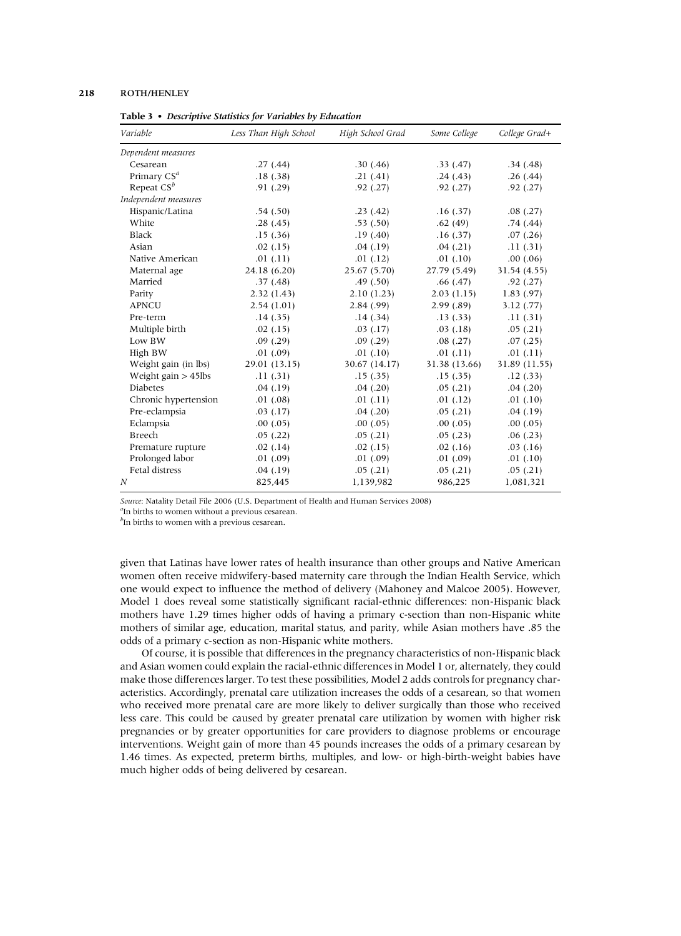Table 3 • Descriptive Statistics for Variables by Education

| Variable              | Less Than High School | High School Grad | Some College  | College Grad+ |
|-----------------------|-----------------------|------------------|---------------|---------------|
| Dependent measures    |                       |                  |               |               |
| Cesarean              | .27(0.44)             | .30(0.46)        | .33(.47)      | .34(.48)      |
| Primary $CS^a$        | .18(.38)              | .21(.41)         | .24(.43)      | .26(.44)      |
| Repeat $CS^b$         | .91(.29)              | .92(0.27)        | .92(0.27)     | .92(0.27)     |
| Independent measures  |                       |                  |               |               |
| Hispanic/Latina       | .54(.50)              | .23(.42)         | .16(0.37)     | .08(.27)      |
| White                 | .28(.45)              | .53(.50)         | .62(49)       | .74(.44)      |
| <b>Black</b>          | .15(0.36)             | .19(.40)         | .16(0.37)     | .07(0.26)     |
| Asian                 | .02(.15)              | .04(.19)         | .04(.21)      | .11(.31)      |
| Native American       | .01(.11)              | .01(.12)         | .01(.10)      | $.00$ $(.06)$ |
| Maternal age          | 24.18 (6.20)          | 25.67 (5.70)     | 27.79 (5.49)  | 31.54 (4.55)  |
| Married               | .37(.48)              | .49(.50)         | .66(.47)      | .92(0.27)     |
| Parity                | 2.32(1.43)            | 2.10(1.23)       | 2.03(1.15)    | 1.83(.97)     |
| <b>APNCU</b>          | 2.54(1.01)            | 2.84(.99)        | 2.99(.89)     | 3.12(.77)     |
| Pre-term              | .14(.35)              | .14(.34)         | .13(.33)      | .11(.31)      |
| Multiple birth        | .02(.15)              | .03(.17)         | .03(.18)      | .05(.21)      |
| Low BW                | .09(0.29)             | .09(0.29)        | .08(.27)      | .07(0.25)     |
| High BW               | .01(0.09)             | .01(.10)         | .01(.11)      | .01(.11)      |
| Weight gain (in lbs)  | 29.01 (13.15)         | 30.67 (14.17)    | 31.38 (13.66) | 31.89 (11.55) |
| Weight gain $>$ 45lbs | .11(.31)              | .15(.35)         | .15(.35)      | .12(.33)      |
| <b>Diabetes</b>       | .04(.19)              | .04(.20)         | .05(.21)      | .04(.20)      |
| Chronic hypertension  | .01(0.08)             | .01(.11)         | .01(.12)      | .01(.10)      |
| Pre-eclampsia         | .03(.17)              | .04(.20)         | .05(.21)      | .04(.19)      |
| Eclampsia             | .00(0.05)             | $.00$ $(.05)$    | $.00$ $(.05)$ | .00(0.05)     |
| Breech                | .05(.22)              | .05(.21)         | .05(.23)      | .06(.23)      |
| Premature rupture     | .02( .14)             | .02(.15)         | .02(.16)      | .03(.16)      |
| Prolonged labor       | .01(0.09)             | $.01$ $(.09)$    | $.01$ $(.09)$ | .01(.10)      |
| Fetal distress        | .04(.19)              | .05(.21)         | .05(0.21)     | .05(.21)      |
| N                     | 825,445               | 1,139,982        | 986,225       | 1,081,321     |

Source: Natality Detail File 2006 (U.S. Department of Health and Human Services 2008)

<sup>a</sup>In births to women without a previous cesarean.

 $\overline{b}$ In births to women with a previous cesarean.

given that Latinas have lower rates of health insurance than other groups and Native American women often receive midwifery-based maternity care through the Indian Health Service, which one would expect to influence the method of delivery (Mahoney and Malcoe 2005). However, Model 1 does reveal some statistically significant racial-ethnic differences: non-Hispanic black mothers have 1.29 times higher odds of having a primary c-section than non-Hispanic white mothers of similar age, education, marital status, and parity, while Asian mothers have .85 the odds of a primary c-section as non-Hispanic white mothers.

Of course, it is possible that differences in the pregnancy characteristics of non-Hispanic black and Asian women could explain the racial-ethnic differences in Model 1 or, alternately, they could make those differences larger. To test these possibilities, Model 2 adds controls for pregnancy characteristics. Accordingly, prenatal care utilization increases the odds of a cesarean, so that women who received more prenatal care are more likely to deliver surgically than those who received less care. This could be caused by greater prenatal care utilization by women with higher risk pregnancies or by greater opportunities for care providers to diagnose problems or encourage interventions. Weight gain of more than 45 pounds increases the odds of a primary cesarean by 1.46 times. As expected, preterm births, multiples, and low- or high-birth-weight babies have much higher odds of being delivered by cesarean.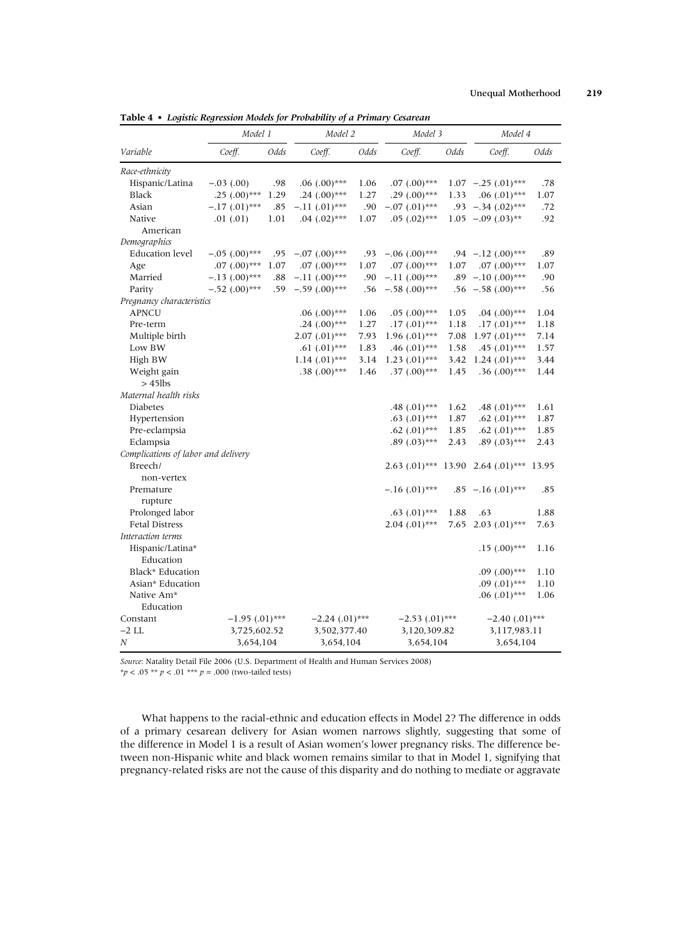|                                     | Model 1           |      | Model 2            |      | Model 3                          |      | Model 4                                 |      |
|-------------------------------------|-------------------|------|--------------------|------|----------------------------------|------|-----------------------------------------|------|
| Variable                            | Coeff.            | Odds | Coeff.             | Odds | Coeff.                           | Odds | Coeff.                                  | Odds |
| Race-ethnicity                      |                   |      |                    |      |                                  |      |                                         |      |
| Hispanic/Latina                     | $-.03$ (.00)      | .98  | $.06$ $(.00)***$   | 1.06 | $.07$ $(.00)$ ***                |      | $1.07 - 0.25$ (.01)***                  | .78  |
| <b>Black</b>                        | $.25(.00)$ ***    | 1.29 | $.24(.00)$ ***     | 1.27 | .29 $(.00)$ ***                  | 1.33 | $.06$ $(.01)$ ***                       | 1.07 |
| Asian                               | $-17(01)$ ***     | .85  | $-.11(.01)$ ***    | .90  | $-.07$ (.01)***                  |      | $.93 - .34$ $(.02)$ ***                 | .72  |
| Native                              | .01(0.01)         | 1.01 | $.04$ $(.02)$ ***  | 1.07 | $.05$ $(.02)$ ***                |      | $1.05 -0.09$ $(.03)$ **                 | .92  |
| American                            |                   |      |                    |      |                                  |      |                                         |      |
| Demographics                        |                   |      |                    |      |                                  |      |                                         |      |
| <b>Education</b> level              | $-.05(.00)$ ***   | .95  | $-.07(.00)$ ***    | .93  | $-.06(.00)$ ***                  |      | .94 $-.12$ (.00)***                     | .89  |
| Age                                 | $.07$ $(.00)$ *** | 1.07 | $.07$ $(.00)$ ***  | 1.07 | $.07$ $(.00)$ ***                | 1.07 | $.07$ $(.00)$ ***                       | 1.07 |
| Married                             | $-.13(.00)$ ***   | .88  | $-.11(.00)$ ***    | .90  | $-.11(.00)$ ***                  |      | $.89 - 10(.00)$ ***                     | .90  |
| Parity                              | $-.52$ (.00)***   | .59  | $-.59(.00)$ ***    | .56  | $-.58(.00)$ ***                  |      | $.56 - .58$ $(.00)$ ***                 | .56  |
| Pregnancy characteristics           |                   |      |                    |      |                                  |      |                                         |      |
| <b>APNCU</b>                        |                   |      | $.06$ $(.00)$ ***  | 1.06 | $.05$ $(.00)$ ***                | 1.05 | $.04$ $(.00)$ ***                       | 1.04 |
| Pre-term                            |                   |      | $.24(.00)$ ***     | 1.27 | $.17(.01***$                     | 1.18 | $.17(0.01)$ ***                         | 1.18 |
| Multiple birth                      |                   |      | $2.07$ $(.01)$ *** | 7.93 | $1.96(0.01)$ ***                 | 7.08 | $1.97(0.01***$                          | 7.14 |
| Low BW                              |                   |      | .61 $(.01)$ ***    | 1.83 | .46 $(.01)$ ***                  | 1.58 | $.45(.01***$                            | 1.57 |
| High BW                             |                   |      | $1.14(0.01)$ ***   | 3.14 | $1.23$ $(.01)$ ***               | 3.42 | $1.24$ (.01)***                         | 3.44 |
| Weight gain                         |                   |      | $.38(.00)$ ***     | 1.46 | $.37(.00)$ ***                   | 1.45 | $.36(.00)$ ***                          | 1.44 |
| $>45$ lbs                           |                   |      |                    |      |                                  |      |                                         |      |
| Maternal health risks               |                   |      |                    |      |                                  |      |                                         |      |
| Diabetes                            |                   |      |                    |      | $.48(.01***$                     | 1.62 | $.48(.01***$                            | 1.61 |
| Hypertension                        |                   |      |                    |      | $.63$ $(.01)$ ***                | 1.87 | $.62$ $(.01)$ ***                       | 1.87 |
| Pre-eclampsia                       |                   |      |                    |      | $.62$ $(.01)$ ***                | 1.85 | $.62$ $(.01)$ ***                       | 1.85 |
| Eclampsia                           |                   |      |                    |      | $.89(.03)***$                    | 2.43 | $.89(.03)$ ***                          | 2.43 |
| Complications of labor and delivery |                   |      |                    |      |                                  |      |                                         |      |
| Breech/                             |                   |      |                    |      |                                  |      | 2.63 (.01)*** 13.90 2.64 (.01)*** 13.95 |      |
| non-vertex                          |                   |      |                    |      |                                  |      |                                         |      |
| Premature                           |                   |      |                    |      | $-.16(.01)$ ***                  |      | $.85 - .16$ (.01)***                    | .85  |
| rupture                             |                   |      |                    |      |                                  |      |                                         |      |
| Prolonged labor                     |                   |      |                    |      | $.63$ $(.01)$ ***                | 1.88 | .63                                     | 1.88 |
| <b>Fetal Distress</b>               |                   |      |                    |      | $2.04(0.01)$ ***                 | 7.65 | $2.03$ $(.01)$ ***                      | 7.63 |
| Interaction terms                   |                   |      |                    |      |                                  |      |                                         |      |
| Hispanic/Latina*                    |                   |      |                    |      |                                  |      | $.15(.00)$ ***                          | 1.16 |
| Education                           |                   |      |                    |      |                                  |      |                                         |      |
| Black* Education                    |                   |      |                    |      |                                  |      | $.09(.00)***$                           | 1.10 |
| Asian* Education                    |                   |      |                    |      |                                  |      |                                         | 1.10 |
| Native Am*                          |                   |      |                    |      |                                  |      | $.09(0.01)$ ***<br>$.06(.01***$         | 1.06 |
| Education                           |                   |      |                    |      |                                  |      |                                         |      |
| Constant                            | $-1.95$ (.01)***  |      | $-2.24$ (.01)***   |      |                                  |      |                                         |      |
| $-2$ LL                             |                   |      |                    |      | $-2.53$ (.01)***<br>3,120,309.82 |      | $-2.40$ (.01)***                        |      |
| N                                   | 3,725,602.52      |      | 3,502,377.40       |      |                                  |      | 3,117,983.11<br>3,654,104               |      |
|                                     | 3,654,104         |      | 3,654,104          |      | 3,654,104                        |      |                                         |      |

Table 4 • Logistic Regression Models for Probability of a Primary Cesarean

Source: Natality Detail File 2006 (U.S. Department of Health and Human Services 2008)

\*p < .05 \*\* p < .01 \*\*\* p = .000 (two-tailed tests)

What happens to the racial-ethnic and education effects in Model 2? The difference in odds of a primary cesarean delivery for Asian women narrows slightly, suggesting that some of the difference in Model 1 is a result of Asian women's lower pregnancy risks. The difference between non-Hispanic white and black women remains similar to that in Model 1, signifying that pregnancy-related risks are not the cause of this disparity and do nothing to mediate or aggravate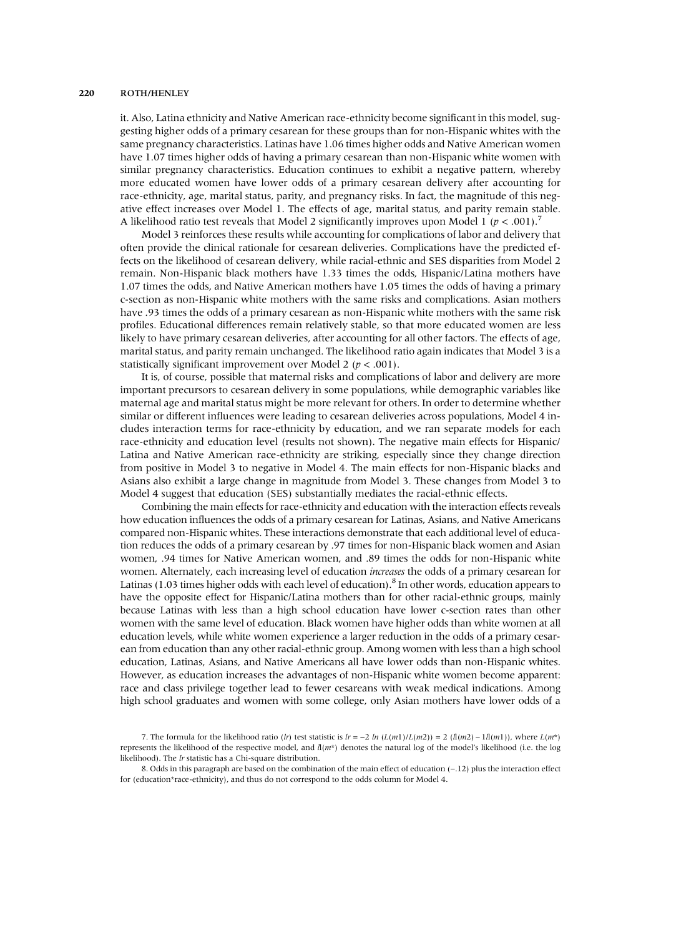it. Also, Latina ethnicity and Native American race-ethnicity become significant in this model, suggesting higher odds of a primary cesarean for these groups than for non-Hispanic whites with the same pregnancy characteristics. Latinas have 1.06 times higher odds and Native American women have 1.07 times higher odds of having a primary cesarean than non-Hispanic white women with similar pregnancy characteristics. Education continues to exhibit a negative pattern, whereby more educated women have lower odds of a primary cesarean delivery after accounting for race-ethnicity, age, marital status, parity, and pregnancy risks. In fact, the magnitude of this negative effect increases over Model 1. The effects of age, marital status, and parity remain stable. A likelihood ratio test reveals that Model 2 significantly improves upon Model 1 ( $p < .001$ ).<sup>7</sup>

Model 3 reinforces these results while accounting for complications of labor and delivery that often provide the clinical rationale for cesarean deliveries. Complications have the predicted effects on the likelihood of cesarean delivery, while racial-ethnic and SES disparities from Model 2 remain. Non-Hispanic black mothers have 1.33 times the odds, Hispanic/Latina mothers have 1.07 times the odds, and Native American mothers have 1.05 times the odds of having a primary c-section as non-Hispanic white mothers with the same risks and complications. Asian mothers have .93 times the odds of a primary cesarean as non-Hispanic white mothers with the same risk profiles. Educational differences remain relatively stable, so that more educated women are less likely to have primary cesarean deliveries, after accounting for all other factors. The effects of age, marital status, and parity remain unchanged. The likelihood ratio again indicates that Model 3 is a statistically significant improvement over Model 2 ( $p < .001$ ).

It is, of course, possible that maternal risks and complications of labor and delivery are more important precursors to cesarean delivery in some populations, while demographic variables like maternal age and marital status might be more relevant for others. In order to determine whether similar or different influences were leading to cesarean deliveries across populations, Model 4 includes interaction terms for race-ethnicity by education, and we ran separate models for each race-ethnicity and education level (results not shown). The negative main effects for Hispanic/ Latina and Native American race-ethnicity are striking, especially since they change direction from positive in Model 3 to negative in Model 4. The main effects for non-Hispanic blacks and Asians also exhibit a large change in magnitude from Model 3. These changes from Model 3 to Model 4 suggest that education (SES) substantially mediates the racial-ethnic effects.

Combining the main effects for race-ethnicity and education with the interaction effects reveals how education influences the odds of a primary cesarean for Latinas, Asians, and Native Americans compared non-Hispanic whites. These interactions demonstrate that each additional level of education reduces the odds of a primary cesarean by .97 times for non-Hispanic black women and Asian women, .94 times for Native American women, and .89 times the odds for non-Hispanic white women. Alternately, each increasing level of education *increases* the odds of a primary cesarean for Latinas (1.03 times higher odds with each level of education).<sup>8</sup> In other words, education appears to have the opposite effect for Hispanic/Latina mothers than for other racial-ethnic groups, mainly because Latinas with less than a high school education have lower c-section rates than other women with the same level of education. Black women have higher odds than white women at all education levels, while white women experience a larger reduction in the odds of a primary cesarean from education than any other racial-ethnic group. Among women with less than a high school education, Latinas, Asians, and Native Americans all have lower odds than non-Hispanic whites. However, as education increases the advantages of non-Hispanic white women become apparent: race and class privilege together lead to fewer cesareans with weak medical indications. Among high school graduates and women with some college, only Asian mothers have lower odds of a

<sup>7.</sup> The formula for the likelihood ratio (lr) test statistic is  $lr = -2 ln (L(m1)/L(m2)) = 2 (ln(m2) - 1ln(m1))$ , where  $L(m^*)$ represents the likelihood of the respective model, and  $\ln(m^*)$  denotes the natural log of the model's likelihood (i.e. the log likelihood). The lr statistic has a Chi-square distribution.

<sup>8.</sup> Odds in this paragraph are based on the combination of the main effect of education (−.12) plus the interaction effect for (education\*race-ethnicity), and thus do not correspond to the odds column for Model 4.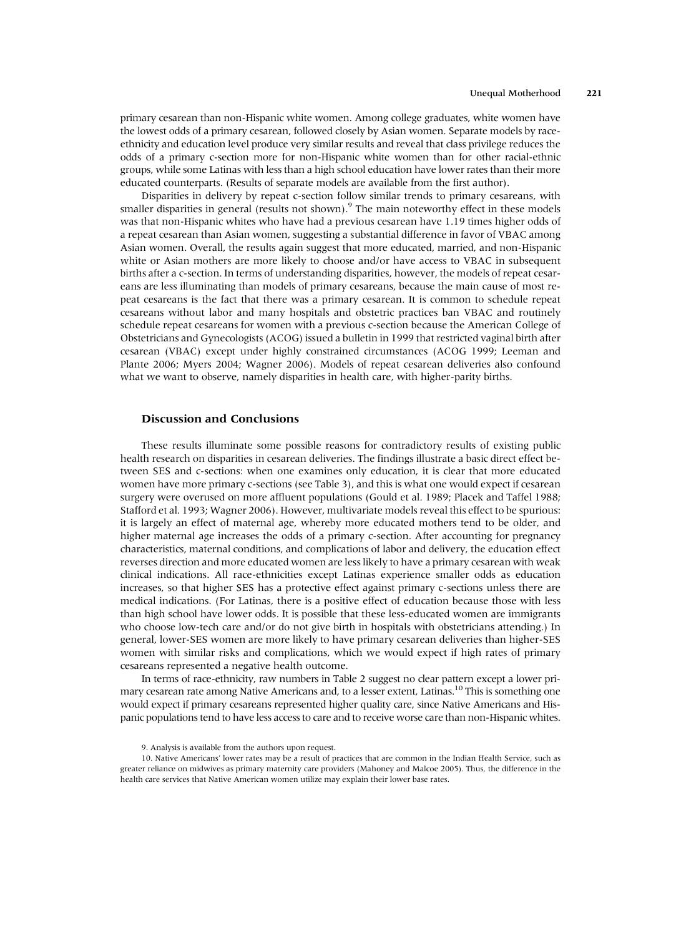primary cesarean than non-Hispanic white women. Among college graduates, white women have the lowest odds of a primary cesarean, followed closely by Asian women. Separate models by raceethnicity and education level produce very similar results and reveal that class privilege reduces the odds of a primary c-section more for non-Hispanic white women than for other racial-ethnic groups, while some Latinas with less than a high school education have lower rates than their more educated counterparts. (Results of separate models are available from the first author).

Disparities in delivery by repeat c-section follow similar trends to primary cesareans, with smaller disparities in general (results not shown).<sup>9</sup> The main noteworthy effect in these models was that non-Hispanic whites who have had a previous cesarean have 1.19 times higher odds of a repeat cesarean than Asian women, suggesting a substantial difference in favor of VBAC among Asian women. Overall, the results again suggest that more educated, married, and non-Hispanic white or Asian mothers are more likely to choose and/or have access to VBAC in subsequent births after a c-section. In terms of understanding disparities, however, the models of repeat cesareans are less illuminating than models of primary cesareans, because the main cause of most repeat cesareans is the fact that there was a primary cesarean. It is common to schedule repeat cesareans without labor and many hospitals and obstetric practices ban VBAC and routinely schedule repeat cesareans for women with a previous c-section because the American College of Obstetricians and Gynecologists (ACOG) issued a bulletin in 1999 that restricted vaginal birth after cesarean (VBAC) except under highly constrained circumstances (ACOG 1999; Leeman and Plante 2006; Myers 2004; Wagner 2006). Models of repeat cesarean deliveries also confound what we want to observe, namely disparities in health care, with higher-parity births.

#### Discussion and Conclusions

These results illuminate some possible reasons for contradictory results of existing public health research on disparities in cesarean deliveries. The findings illustrate a basic direct effect between SES and c-sections: when one examines only education, it is clear that more educated women have more primary c-sections (see Table 3), and this is what one would expect if cesarean surgery were overused on more affluent populations (Gould et al. 1989; Placek and Taffel 1988; Stafford et al. 1993; Wagner 2006). However, multivariate models reveal this effect to be spurious: it is largely an effect of maternal age, whereby more educated mothers tend to be older, and higher maternal age increases the odds of a primary c-section. After accounting for pregnancy characteristics, maternal conditions, and complications of labor and delivery, the education effect reverses direction and more educated women are less likely to have a primary cesarean with weak clinical indications. All race-ethnicities except Latinas experience smaller odds as education increases, so that higher SES has a protective effect against primary c-sections unless there are medical indications. (For Latinas, there is a positive effect of education because those with less than high school have lower odds. It is possible that these less-educated women are immigrants who choose low-tech care and/or do not give birth in hospitals with obstetricians attending.) In general, lower-SES women are more likely to have primary cesarean deliveries than higher-SES women with similar risks and complications, which we would expect if high rates of primary cesareans represented a negative health outcome.

In terms of race-ethnicity, raw numbers in Table 2 suggest no clear pattern except a lower primary cesarean rate among Native Americans and, to a lesser extent, Latinas.<sup>10</sup> This is something one would expect if primary cesareans represented higher quality care, since Native Americans and Hispanic populations tend to have less access to care and to receive worse care than non-Hispanic whites.

<sup>9.</sup> Analysis is available from the authors upon request.

<sup>10.</sup> Native Americans' lower rates may be a result of practices that are common in the Indian Health Service, such as greater reliance on midwives as primary maternity care providers (Mahoney and Malcoe 2005). Thus, the difference in the health care services that Native American women utilize may explain their lower base rates.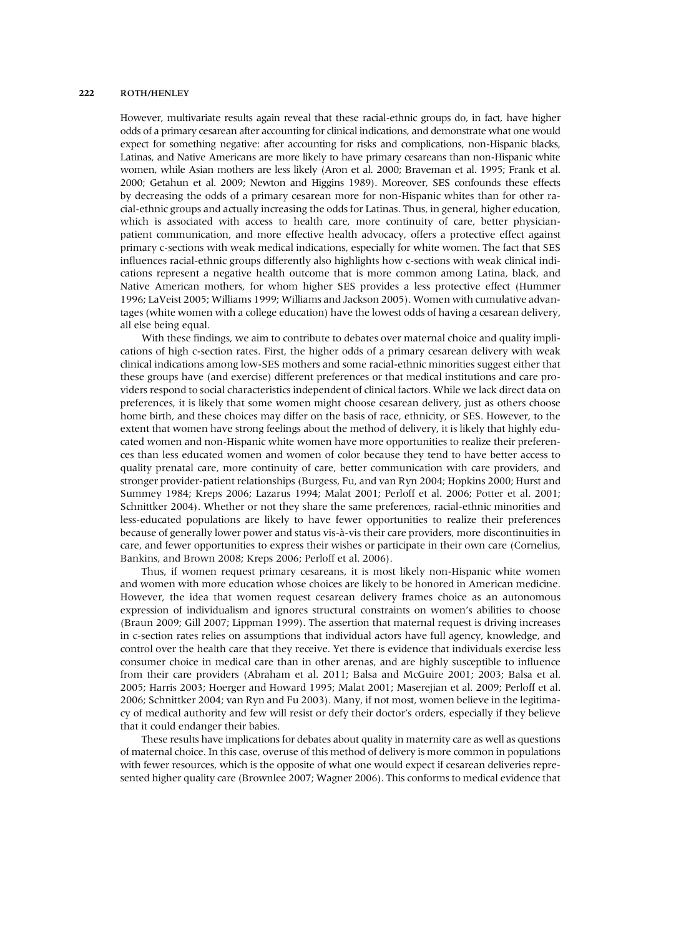However, multivariate results again reveal that these racial-ethnic groups do, in fact, have higher odds of a primary cesarean after accounting for clinical indications, and demonstrate what one would expect for something negative: after accounting for risks and complications, non-Hispanic blacks, Latinas, and Native Americans are more likely to have primary cesareans than non-Hispanic white women, while Asian mothers are less likely (Aron et al. 2000; Braveman et al. 1995; Frank et al. 2000; Getahun et al. 2009; Newton and Higgins 1989). Moreover, SES confounds these effects by decreasing the odds of a primary cesarean more for non-Hispanic whites than for other racial-ethnic groups and actually increasing the odds for Latinas. Thus, in general, higher education, which is associated with access to health care, more continuity of care, better physicianpatient communication, and more effective health advocacy, offers a protective effect against primary c-sections with weak medical indications, especially for white women. The fact that SES influences racial-ethnic groups differently also highlights how c-sections with weak clinical indications represent a negative health outcome that is more common among Latina, black, and Native American mothers, for whom higher SES provides a less protective effect (Hummer 1996; LaVeist 2005; Williams 1999; Williams and Jackson 2005). Women with cumulative advantages (white women with a college education) have the lowest odds of having a cesarean delivery, all else being equal.

With these findings, we aim to contribute to debates over maternal choice and quality implications of high c-section rates. First, the higher odds of a primary cesarean delivery with weak clinical indications among low-SES mothers and some racial-ethnic minorities suggest either that these groups have (and exercise) different preferences or that medical institutions and care providers respond to social characteristics independent of clinical factors. While we lack direct data on preferences, it is likely that some women might choose cesarean delivery, just as others choose home birth, and these choices may differ on the basis of race, ethnicity, or SES. However, to the extent that women have strong feelings about the method of delivery, it is likely that highly educated women and non-Hispanic white women have more opportunities to realize their preferences than less educated women and women of color because they tend to have better access to quality prenatal care, more continuity of care, better communication with care providers, and stronger provider-patient relationships (Burgess, Fu, and van Ryn 2004; Hopkins 2000; Hurst and Summey 1984; Kreps 2006; Lazarus 1994; Malat 2001; Perloff et al. 2006; Potter et al. 2001; Schnittker 2004). Whether or not they share the same preferences, racial-ethnic minorities and less-educated populations are likely to have fewer opportunities to realize their preferences because of generally lower power and status vis-à-vis their care providers, more discontinuities in care, and fewer opportunities to express their wishes or participate in their own care (Cornelius, Bankins, and Brown 2008; Kreps 2006; Perloff et al. 2006).

Thus, if women request primary cesareans, it is most likely non-Hispanic white women and women with more education whose choices are likely to be honored in American medicine. However, the idea that women request cesarean delivery frames choice as an autonomous expression of individualism and ignores structural constraints on women's abilities to choose (Braun 2009; Gill 2007; Lippman 1999). The assertion that maternal request is driving increases in c-section rates relies on assumptions that individual actors have full agency, knowledge, and control over the health care that they receive. Yet there is evidence that individuals exercise less consumer choice in medical care than in other arenas, and are highly susceptible to influence from their care providers (Abraham et al. 2011; Balsa and McGuire 2001; 2003; Balsa et al. 2005; Harris 2003; Hoerger and Howard 1995; Malat 2001; Maserejian et al. 2009; Perloff et al. 2006; Schnittker 2004; van Ryn and Fu 2003). Many, if not most, women believe in the legitimacy of medical authority and few will resist or defy their doctor's orders, especially if they believe that it could endanger their babies.

These results have implications for debates about quality in maternity care as well as questions of maternal choice. In this case, overuse of this method of delivery is more common in populations with fewer resources, which is the opposite of what one would expect if cesarean deliveries represented higher quality care (Brownlee 2007; Wagner 2006). This conforms to medical evidence that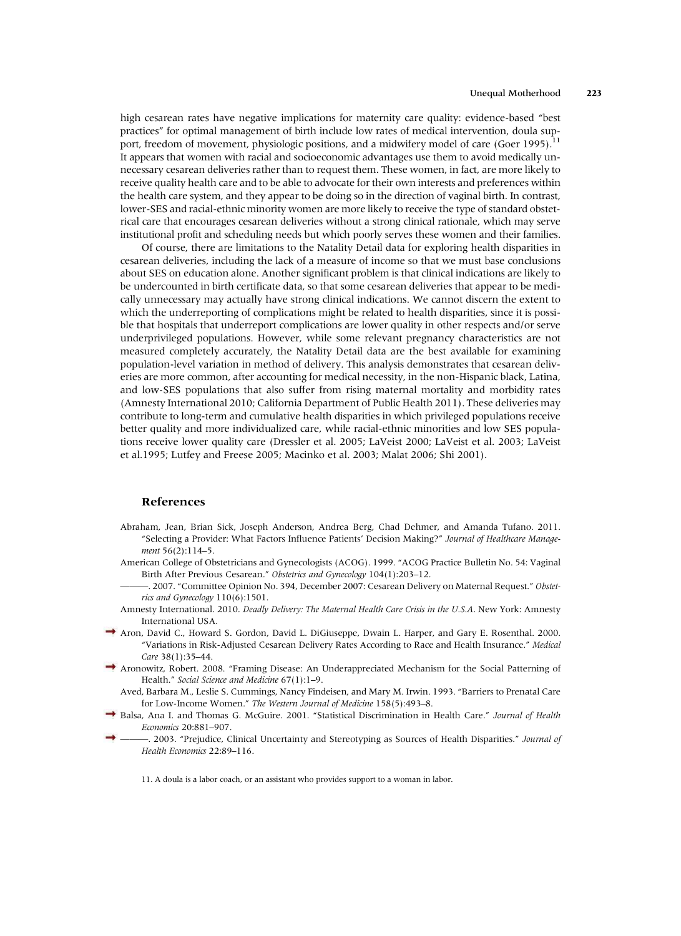high cesarean rates have negative implications for maternity care quality: evidence-based "best practices" for optimal management of birth include low rates of medical intervention, doula support, freedom of movement, physiologic positions, and a midwifery model of care (Goer 1995).<sup>11</sup> It appears that women with racial and socioeconomic advantages use them to avoid medically unnecessary cesarean deliveries rather than to request them. These women, in fact, are more likely to receive quality health care and to be able to advocate for their own interests and preferences within the health care system, and they appear to be doing so in the direction of vaginal birth. In contrast, lower-SES and racial-ethnic minority women are more likely to receive the type of standard obstetrical care that encourages cesarean deliveries without a strong clinical rationale, which may serve institutional profit and scheduling needs but which poorly serves these women and their families.

Of course, there are limitations to the Natality Detail data for exploring health disparities in cesarean deliveries, including the lack of a measure of income so that we must base conclusions about SES on education alone. Another significant problem is that clinical indications are likely to be undercounted in birth certificate data, so that some cesarean deliveries that appear to be medically unnecessary may actually have strong clinical indications. We cannot discern the extent to which the underreporting of complications might be related to health disparities, since it is possible that hospitals that underreport complications are lower quality in other respects and/or serve underprivileged populations. However, while some relevant pregnancy characteristics are not measured completely accurately, the Natality Detail data are the best available for examining population-level variation in method of delivery. This analysis demonstrates that cesarean deliveries are more common, after accounting for medical necessity, in the non-Hispanic black, Latina, and low-SES populations that also suffer from rising maternal mortality and morbidity rates (Amnesty International 2010; California Department of Public Health 2011). These deliveries may contribute to long-term and cumulative health disparities in which privileged populations receive better quality and more individualized care, while racial-ethnic minorities and low SES populations receive lower quality care (Dressler et al. 2005; LaVeist 2000; LaVeist et al. 2003; LaVeist et al.1995; Lutfey and Freese 2005; Macinko et al. 2003; Malat 2006; Shi 2001).

### References

- Abraham, Jean, Brian Sick, Joseph Anderson, Andrea Berg, Chad Dehmer, and Amanda Tufano. 2011. "Selecting a Provider: What Factors Influence Patients' Decision Making?" Journal of Healthcare Management 56(2):114-5.
- American College of Obstetricians and Gynecologists (ACOG). 1999. "ACOG Practice Bulletin No. 54: Vaginal Birth After Previous Cesarean." Obstetrics and Gynecology 104(1):203–12.
	- 2007. "Committee Opinion No. 394, December 2007: Cesarean Delivery on Maternal Request." Obstetrics and Gynecology 110(6):1501.
- Amnesty International. 2010. Deadly Delivery: The Maternal Health Care Crisis in the U.S.A. New York: Amnesty International USA.
- Aron, David C., Howard S. Gordon, David L. DiGiuseppe, Dwain L. Harper, and Gary E. Rosenthal. 2000. "Variations in Risk-Adjusted Cesarean Delivery Rates According to Race and Health Insurance." Medical Care 38(1):35–44.
- Aronowitz, Robert. 2008. "Framing Disease: An Underappreciated Mechanism for the Social Patterning of Health." Social Science and Medicine 67(1):1–9.
	- Aved, Barbara M., Leslie S. Cummings, Nancy Findeisen, and Mary M. Irwin. 1993. "Barriers to Prenatal Care for Low-Income Women." The Western Journal of Medicine 158(5):493–8.
- \* Balsa, Ana I. and Thomas G. McGuire. 2001. "Statistical Discrimination in Health Care." Journal of Health Economics 20:881–907.
- -. 2003. "Prejudice, Clinical Uncertainty and Stereotyping as Sources of Health Disparities." Journal of Health Economics 22:89–116.

11. A doula is a labor coach, or an assistant who provides support to a woman in labor.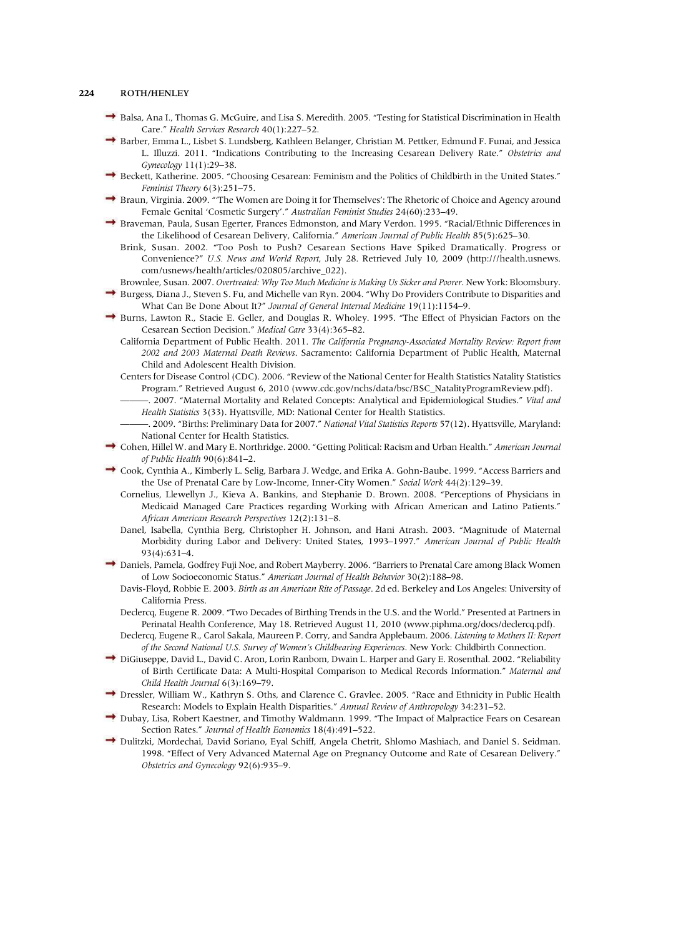- Balsa, Ana I., Thomas G. McGuire, and Lisa S. Meredith. 2005. "Testing for Statistical Discrimination in Health Care." Health Services Research 40(1):227–52.
- Barber, Emma L., Lisbet S. Lundsberg, Kathleen Belanger, Christian M. Pettker, Edmund F. Funai, and Jessica L. Illuzzi. 2011. "Indications Contributing to the Increasing Cesarean Delivery Rate." Obstetrics and Gynecology 11(1):29–38.
- Beckett, Katherine. 2005. "Choosing Cesarean: Feminism and the Politics of Childbirth in the United States." Feminist Theory 6(3):251–75.
- Braun, Virginia. 2009. "The Women are Doing it for Themselves': The Rhetoric of Choice and Agency around Female Genital 'Cosmetic Surgery'." Australian Feminist Studies 24(60):233–49.
- Braveman, Paula, Susan Egerter, Frances Edmonston, and Mary Verdon. 1995. "Racial/Ethnic Differences in the Likelihood of Cesarean Delivery, California." American Journal of Public Health 85(5):625-30.
	- Brink, Susan. 2002. "Too Posh to Push? Cesarean Sections Have Spiked Dramatically. Progress or Convenience?" U.S. News and World Report, July 28. Retrieved July 10, 2009 (http:///health.usnews. com/usnews/health/articles/020805/archive\_022).
- Brownlee, Susan. 2007. Overtreated: Why Too Much Medicine is Making Us Sicker and Poorer. New York: Bloomsbury. Burgess, Diana J., Steven S. Fu, and Michelle van Ryn. 2004. "Why Do Providers Contribute to Disparities and

What Can Be Done About It?" Journal of General Internal Medicine 19(11):1154–9.

- Burns, Lawton R., Stacie E. Geller, and Douglas R. Wholey. 1995. "The Effect of Physician Factors on the Cesarean Section Decision." Medical Care 33(4):365–82.
	- California Department of Public Health. 2011. The California Pregnancy-Associated Mortality Review: Report from 2002 and 2003 Maternal Death Reviews. Sacramento: California Department of Public Health, Maternal Child and Adolescent Health Division.
	- Centers for Disease Control (CDC). 2006. "Review of the National Center for Health Statistics Natality Statistics Program." Retrieved August 6, 2010 (www.cdc.gov/nchs/data/bsc/BSC\_NatalityProgramReview.pdf).
		- -. 2007. "Maternal Mortality and Related Concepts: Analytical and Epidemiological Studies." Vital and Health Statistics 3(33). Hyattsville, MD: National Center for Health Statistics.
		- -. 2009. "Births: Preliminary Data for 2007." National Vital Statistics Reports 57(12). Hyattsville, Maryland: National Center for Health Statistics.
- Cohen, Hillel W. and Mary E. Northridge. 2000. "Getting Political: Racism and Urban Health." American Journal of Public Health 90(6):841–2.
- Cook, Cynthia A., Kimberly L. Selig, Barbara J. Wedge, and Erika A. Gohn-Baube. 1999. "Access Barriers and the Use of Prenatal Care by Low-Income, Inner-City Women." Social Work 44(2):129-39.
	- Cornelius, Llewellyn J., Kieva A. Bankins, and Stephanie D. Brown. 2008. "Perceptions of Physicians in Medicaid Managed Care Practices regarding Working with African American and Latino Patients." African American Research Perspectives 12(2):131–8.
	- Danel, Isabella, Cynthia Berg, Christopher H. Johnson, and Hani Atrash. 2003. "Magnitude of Maternal Morbidity during Labor and Delivery: United States, 1993–1997." American Journal of Public Health 93(4):631–4.
- Daniels, Pamela, Godfrey Fuji Noe, and Robert Mayberry. 2006. "Barriers to Prenatal Care among Black Women of Low Socioeconomic Status." American Journal of Health Behavior 30(2):188–98.
	- Davis-Floyd, Robbie E. 2003. Birth as an American Rite of Passage. 2d ed. Berkeley and Los Angeles: University of California Press.
	- Declercq, Eugene R. 2009. "Two Decades of Birthing Trends in the U.S. and the World." Presented at Partners in Perinatal Health Conference, May 18. Retrieved August 11, 2010 (www.piphma.org/docs/declercq.pdf).
	- Declercq, Eugene R., Carol Sakala, Maureen P. Corry, and Sandra Applebaum. 2006. Listening to Mothers II: Report of the Second National U.S. Survey of Women's Childbearing Experiences. New York: Childbirth Connection.
- DiGiuseppe, David L., David C. Aron, Lorin Ranbom, Dwain L. Harper and Gary E. Rosenthal. 2002. "Reliability of Birth Certificate Data: A Multi-Hospital Comparison to Medical Records Information." Maternal and Child Health Journal 6(3):169–79.
- Dressler, William W., Kathryn S. Oths, and Clarence C. Gravlee. 2005. "Race and Ethnicity in Public Health Research: Models to Explain Health Disparities." Annual Review of Anthropology 34:231–52.
- Dubay, Lisa, Robert Kaestner, and Timothy Waldmann. 1999. "The Impact of Malpractice Fears on Cesarean Section Rates." Journal of Health Economics 18(4):491–522.
- Dulitzki, Mordechai, David Soriano, Eyal Schiff, Angela Chetrit, Shlomo Mashiach, and Daniel S. Seidman. 1998. "Effect of Very Advanced Maternal Age on Pregnancy Outcome and Rate of Cesarean Delivery." Obstetrics and Gynecology 92(6):935–9.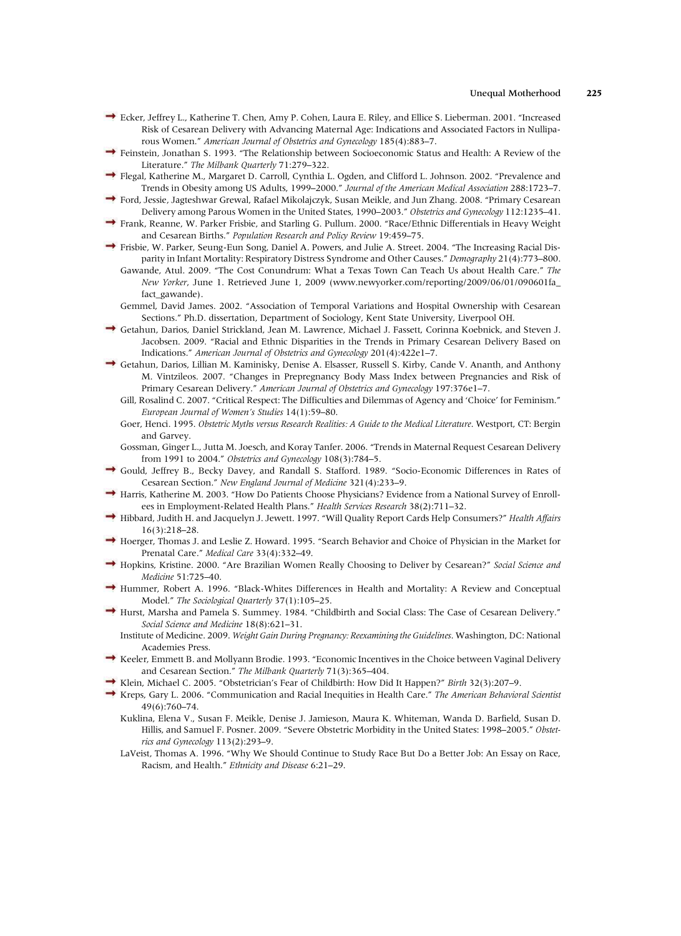- Ecker, Jeffrey L., Katherine T. Chen, Amy P. Cohen, Laura E. Riley, and Ellice S. Lieberman. 2001. "Increased Risk of Cesarean Delivery with Advancing Maternal Age: Indications and Associated Factors in Nulliparous Women." American Journal of Obstetrics and Gynecology 185(4):883–7.
- Feinstein, Jonathan S. 1993. "The Relationship between Socioeconomic Status and Health: A Review of the Literature." The Milbank Quarterly 71:279–322.
- Flegal, Katherine M., Margaret D. Carroll, Cynthia L. Ogden, and Clifford L. Johnson. 2002. "Prevalence and Trends in Obesity among US Adults, 1999–2000." Journal of the American Medical Association 288:1723–7.
- Ford, Jessie, Jagteshwar Grewal, Rafael Mikolajczyk, Susan Meikle, and Jun Zhang. 2008. "Primary Cesarean Delivery among Parous Women in the United States, 1990–2003." Obstetrics and Gynecology 112:1235–41.
- Frank, Reanne, W. Parker Frisbie, and Starling G. Pullum. 2000. "Race/Ethnic Differentials in Heavy Weight and Cesarean Births." Population Research and Policy Review 19:459–75.
- Frisbie, W. Parker, Seung-Eun Song, Daniel A. Powers, and Julie A. Street. 2004. "The Increasing Racial Disparity in Infant Mortality: Respiratory Distress Syndrome and Other Causes." Demography 21(4):773–800. Gawande, Atul. 2009. "The Cost Conundrum: What a Texas Town Can Teach Us about Health Care." The New Yorker, June 1. Retrieved June 1, 2009 (www.newyorker.com/reporting/2009/06/01/090601fa\_
	- fact\_gawande).
	- Gemmel, David James. 2002. "Association of Temporal Variations and Hospital Ownership with Cesarean Sections." Ph.D. dissertation, Department of Sociology, Kent State University, Liverpool OH.
- Getahun, Darios, Daniel Strickland, Jean M. Lawrence, Michael J. Fassett, Corinna Koebnick, and Steven J. Jacobsen. 2009. "Racial and Ethnic Disparities in the Trends in Primary Cesarean Delivery Based on Indications." American Journal of Obstetrics and Gynecology 201(4):422e1–7.
- Getahun, Darios, Lillian M. Kaminisky, Denise A. Elsasser, Russell S. Kirby, Cande V. Ananth, and Anthony M. Vintzileos. 2007. "Changes in Prepregnancy Body Mass Index between Pregnancies and Risk of Primary Cesarean Delivery." American Journal of Obstetrics and Gynecology 197:376e1–7.
	- Gill, Rosalind C. 2007. "Critical Respect: The Difficulties and Dilemmas of Agency and 'Choice' for Feminism." European Journal of Women's Studies 14(1):59–80.
	- Goer, Henci. 1995. Obstetric Myths versus Research Realities: A Guide to the Medical Literature. Westport, CT: Bergin and Garvey.
	- Gossman, Ginger L., Jutta M. Joesch, and Koray Tanfer. 2006. "Trends in Maternal Request Cesarean Delivery from 1991 to 2004." Obstetrics and Gynecology 108(3):784–5.
- Gould, Jeffrey B., Becky Davey, and Randall S. Stafford. 1989. "Socio-Economic Differences in Rates of Cesarean Section." New England Journal of Medicine 321(4):233–9.
- Harris, Katherine M. 2003. "How Do Patients Choose Physicians? Evidence from a National Survey of Enrollees in Employment-Related Health Plans." Health Services Research 38(2):711–32.
- $\rightarrow$  Hibbard, Judith H. and Jacquelyn J. Jewett. 1997. "Will Quality Report Cards Help Consumers?" Health Affairs 16(3):218–28.
- Hoerger, Thomas J. and Leslie Z. Howard. 1995. "Search Behavior and Choice of Physician in the Market for Prenatal Care." Medical Care 33(4):332–49.
- Hopkins, Kristine. 2000. "Are Brazilian Women Really Choosing to Deliver by Cesarean?" Social Science and Medicine 51:725–40.
- Hummer, Robert A. 1996. "Black-Whites Differences in Health and Mortality: A Review and Conceptual Model." The Sociological Quarterly 37(1):105–25.
- Hurst, Marsha and Pamela S. Summey. 1984. "Childbirth and Social Class: The Case of Cesarean Delivery." Social Science and Medicine 18(8):621–31.
	- Institute of Medicine. 2009. Weight Gain During Pregnancy: Reexamining the Guidelines. Washington, DC: National Academies Press.
- Keeler, Emmett B. and Mollyann Brodie. 1993. "Economic Incentives in the Choice between Vaginal Delivery and Cesarean Section." The Milbank Quarterly 71(3):365–404.
- Klein, Michael C. 2005. "Obstetrician's Fear of Childbirth: How Did It Happen?" Birth 32(3):207–9.
- Kreps, Gary L. 2006. "Communication and Racial Inequities in Health Care." The American Behavioral Scientist 49(6):760–74.
	- Kuklina, Elena V., Susan F. Meikle, Denise J. Jamieson, Maura K. Whiteman, Wanda D. Barfield, Susan D. Hillis, and Samuel F. Posner. 2009. "Severe Obstetric Morbidity in the United States: 1998–2005." Obstetrics and Gynecology 113(2):293–9.
	- LaVeist, Thomas A. 1996. "Why We Should Continue to Study Race But Do a Better Job: An Essay on Race, Racism, and Health." Ethnicity and Disease 6:21–29.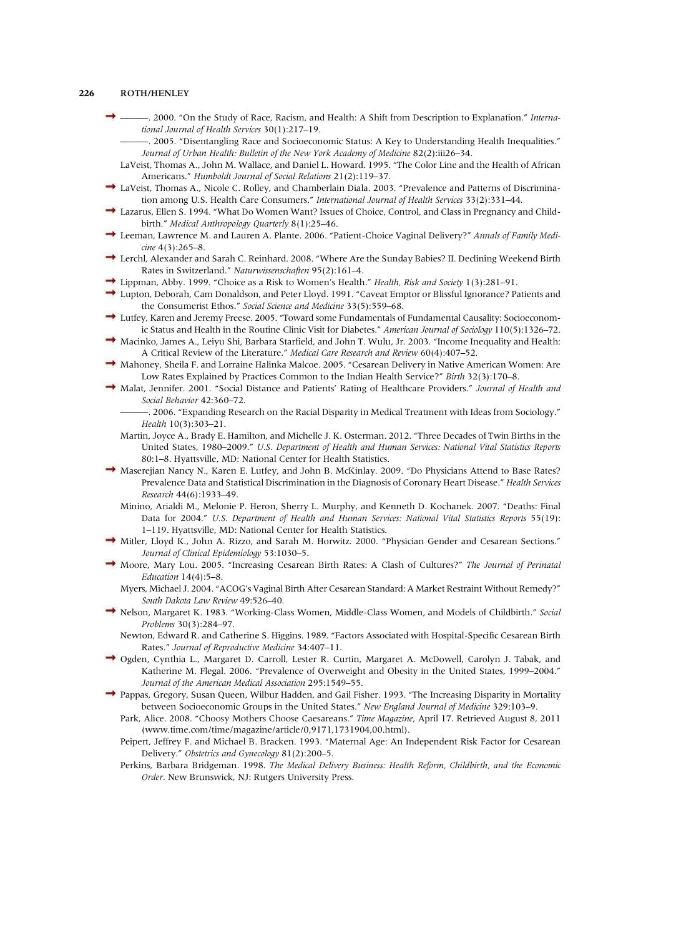- 2000. "On the Study of Race, Racism, and Health: A Shift from Description to Explanation." International Journal of Health Services 30(1):217–19.
	- ———. 2005. "Disentangling Race and Socioeconomic Status: A Key to Understanding Health Inequalities." Journal of Urban Health: Bulletin of the New York Academy of Medicine 82(2):iii26–34.
- LaVeist, Thomas A., John M. Wallace, and Daniel L. Howard. 1995. "The Color Line and the Health of African Americans." Humboldt Journal of Social Relations 21(2):119–37.
- LaVeist, Thomas A., Nicole C. Rolley, and Chamberlain Diala. 2003. "Prevalence and Patterns of Discrimination among U.S. Health Care Consumers." International Journal of Health Services 33(2):331-44.
- Lazarus, Ellen S. 1994. "What Do Women Want? Issues of Choice, Control, and Class in Pregnancy and Childbirth." Medical Anthropology Quarterly 8(1):25–46.
- → Leeman, Lawrence M. and Lauren A. Plante. 2006. "Patient-Choice Vaginal Delivery?" Annals of Family Medicine 4(3):265–8.
- Lerchl, Alexander and Sarah C. Reinhard. 2008. "Where Are the Sunday Babies? II. Declining Weekend Birth Rates in Switzerland." Naturwissenschaften 95(2):161–4.
- ◆ Lippman, Abby. 1999. "Choice as a Risk to Women's Health." Health, Risk and Society 1(3):281–91.
- Lupton, Deborah, Cam Donaldson, and Peter Lloyd. 1991. "Caveat Emptor or Blissful Ignorance? Patients and the Consumerist Ethos." Social Science and Medicine 33(5):559–68.
- Lutfey, Karen and Jeremy Freese. 2005. "Toward some Fundamentals of Fundamental Causality: Socioeconomic Status and Health in the Routine Clinic Visit for Diabetes." American Journal of Sociology 110(5):1326-72.
- Macinko, James A., Leiyu Shi, Barbara Starfield, and John T. Wulu, Jr. 2003. "Income Inequality and Health: A Critical Review of the Literature." Medical Care Research and Review 60(4):407–52.
- Mahoney, Sheila F. and Lorraine Halinka Malcoe. 2005. "Cesarean Delivery in Native American Women: Are Low Rates Explained by Practices Common to the Indian Health Service?" Birth 32(3):170-8.
- Malat, Jennifer. 2001. "Social Distance and Patients' Rating of Healthcare Providers." Journal of Health and Social Behavior 42:360–72.
	- ———. 2006. "Expanding Research on the Racial Disparity in Medical Treatment with Ideas from Sociology." Health 10(3):303–21.
	- Martin, Joyce A., Brady E. Hamilton, and Michelle J. K. Osterman. 2012. "Three Decades of Twin Births in the United States, 1980–2009." U.S. Department of Health and Human Services: National Vital Statistics Reports 80:1–8. Hyattsville, MD: National Center for Health Statistics.
- Maserejian Nancy N., Karen E. Lutfey, and John B. McKinlay. 2009. "Do Physicians Attend to Base Rates? Prevalence Data and Statistical Discrimination in the Diagnosis of Coronary Heart Disease." Health Services Research 44(6):1933–49.
	- Minino, Arialdi M., Melonie P. Heron, Sherry L. Murphy, and Kenneth D. Kochanek. 2007. "Deaths: Final Data for 2004." U.S. Department of Health and Human Services: National Vital Statistics Reports 55(19): 1–119. Hyattsville, MD: National Center for Health Statistics.
- Mitler, Lloyd K., John A. Rizzo, and Sarah M. Horwitz. 2000. "Physician Gender and Cesarean Sections." Journal of Clinical Epidemiology 53:1030–5.
- Moore, Mary Lou. 2005. "Increasing Cesarean Birth Rates: A Clash of Cultures?" The Journal of Perinatal Education 14(4):5–8.
	- Myers, Michael J. 2004. "ACOG's Vaginal Birth After Cesarean Standard: A Market Restraint Without Remedy?" South Dakota Law Review 49:526–40.
- Nelson, Margaret K. 1983. "Working-Class Women, Middle-Class Women, and Models of Childbirth." Social Problems 30(3):284–97.
	- Newton, Edward R. and Catherine S. Higgins. 1989. "Factors Associated with Hospital-Specific Cesarean Birth Rates." Journal of Reproductive Medicine 34:407–11.
- Ogden, Cynthia L., Margaret D. Carroll, Lester R. Curtin, Margaret A. McDowell, Carolyn J. Tabak, and Katherine M. Flegal. 2006. "Prevalence of Overweight and Obesity in the United States, 1999–2004." Journal of the American Medical Association 295:1549–55.
- Pappas, Gregory, Susan Queen, Wilbur Hadden, and Gail Fisher. 1993. "The Increasing Disparity in Mortality between Socioeconomic Groups in the United States." New England Journal of Medicine 329:103-9.
	- Park, Alice. 2008. "Choosy Mothers Choose Caesareans." Time Magazine, April 17. Retrieved August 8, 2011 (www.time.com/time/magazine/article/0,9171,1731904,00.html).
	- Peipert, Jeffrey F. and Michael B. Bracken. 1993. "Maternal Age: An Independent Risk Factor for Cesarean Delivery." Obstetrics and Gynecology 81(2):200–5.
	- Perkins, Barbara Bridgeman. 1998. The Medical Delivery Business: Health Reform, Childbirth, and the Economic Order. New Brunswick, NJ: Rutgers University Press.